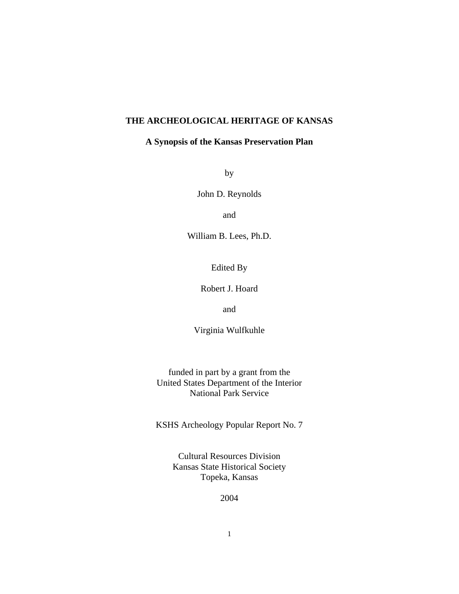# **THE ARCHEOLOGICAL HERITAGE OF KANSAS**

# **A Synopsis of the Kansas Preservation Plan**

by

John D. Reynolds

and

William B. Lees, Ph.D.

Edited By

Robert J. Hoard

and

Virginia Wulfkuhle

funded in part by a grant from the United States Department of the Interior National Park Service

KSHS Archeology Popular Report No. 7

Cultural Resources Division Kansas State Historical Society Topeka, Kansas

2004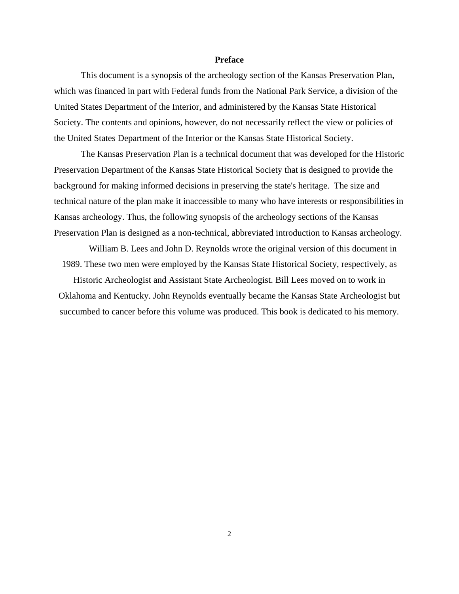#### **Preface**

This document is a synopsis of the archeology section of the Kansas Preservation Plan, which was financed in part with Federal funds from the National Park Service, a division of the United States Department of the Interior, and administered by the Kansas State Historical Society. The contents and opinions, however, do not necessarily reflect the view or policies of the United States Department of the Interior or the Kansas State Historical Society.

The Kansas Preservation Plan is a technical document that was developed for the Historic Preservation Department of the Kansas State Historical Society that is designed to provide the background for making informed decisions in preserving the state's heritage. The size and technical nature of the plan make it inaccessible to many who have interests or responsibilities in Kansas archeology. Thus, the following synopsis of the archeology sections of the Kansas Preservation Plan is designed as a non-technical, abbreviated introduction to Kansas archeology.

William B. Lees and John D. Reynolds wrote the original version of this document in 1989. These two men were employed by the Kansas State Historical Society, respectively, as

Historic Archeologist and Assistant State Archeologist. Bill Lees moved on to work in Oklahoma and Kentucky. John Reynolds eventually became the Kansas State Archeologist but succumbed to cancer before this volume was produced. This book is dedicated to his memory.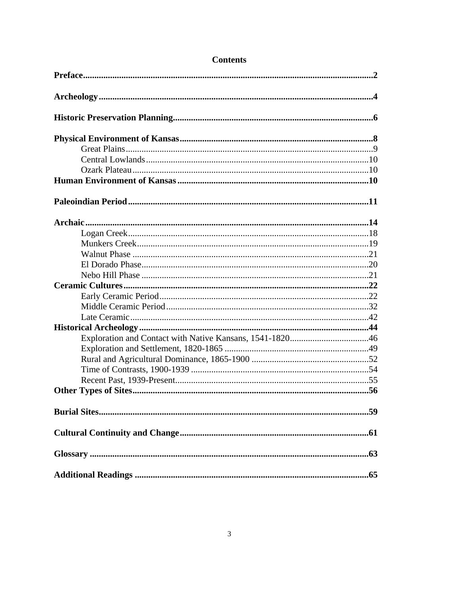# **Contents**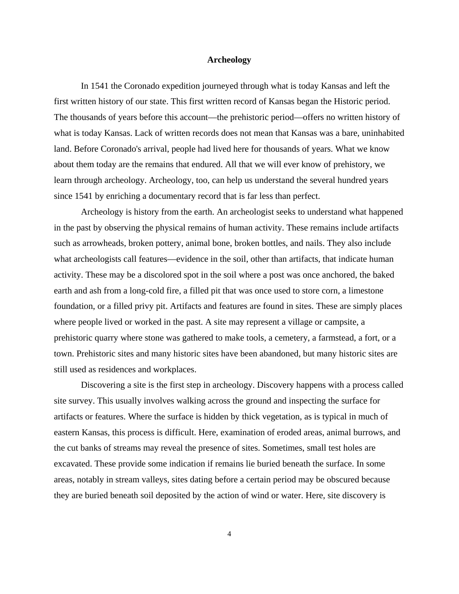#### **Archeology**

In 1541 the Coronado expedition journeyed through what is today Kansas and left the first written history of our state. This first written record of Kansas began the Historic period. The thousands of years before this account—the prehistoric period—offers no written history of what is today Kansas. Lack of written records does not mean that Kansas was a bare, uninhabited land. Before Coronado's arrival, people had lived here for thousands of years. What we know about them today are the remains that endured. All that we will ever know of prehistory, we learn through archeology. Archeology, too, can help us understand the several hundred years since 1541 by enriching a documentary record that is far less than perfect.

Archeology is history from the earth. An archeologist seeks to understand what happened in the past by observing the physical remains of human activity. These remains include artifacts such as arrowheads, broken pottery, animal bone, broken bottles, and nails. They also include what archeologists call features—evidence in the soil, other than artifacts, that indicate human activity. These may be a discolored spot in the soil where a post was once anchored, the baked earth and ash from a long-cold fire, a filled pit that was once used to store corn, a limestone foundation, or a filled privy pit. Artifacts and features are found in sites. These are simply places where people lived or worked in the past. A site may represent a village or campsite, a prehistoric quarry where stone was gathered to make tools, a cemetery, a farmstead, a fort, or a town. Prehistoric sites and many historic sites have been abandoned, but many historic sites are still used as residences and workplaces.

Discovering a site is the first step in archeology. Discovery happens with a process called site survey. This usually involves walking across the ground and inspecting the surface for artifacts or features. Where the surface is hidden by thick vegetation, as is typical in much of eastern Kansas, this process is difficult. Here, examination of eroded areas, animal burrows, and the cut banks of streams may reveal the presence of sites. Sometimes, small test holes are excavated. These provide some indication if remains lie buried beneath the surface. In some areas, notably in stream valleys, sites dating before a certain period may be obscured because they are buried beneath soil deposited by the action of wind or water. Here, site discovery is

4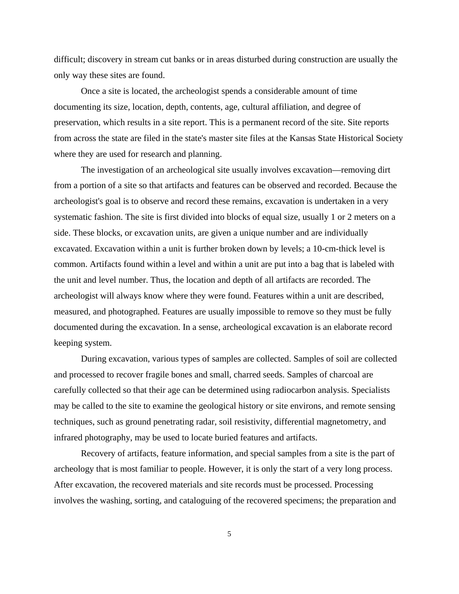difficult; discovery in stream cut banks or in areas disturbed during construction are usually the only way these sites are found.

Once a site is located, the archeologist spends a considerable amount of time documenting its size, location, depth, contents, age, cultural affiliation, and degree of preservation, which results in a site report. This is a permanent record of the site. Site reports from across the state are filed in the state's master site files at the Kansas State Historical Society where they are used for research and planning.

The investigation of an archeological site usually involves excavation—removing dirt from a portion of a site so that artifacts and features can be observed and recorded. Because the archeologist's goal is to observe and record these remains, excavation is undertaken in a very systematic fashion. The site is first divided into blocks of equal size, usually 1 or 2 meters on a side. These blocks, or excavation units, are given a unique number and are individually excavated. Excavation within a unit is further broken down by levels; a 10-cm-thick level is common. Artifacts found within a level and within a unit are put into a bag that is labeled with the unit and level number. Thus, the location and depth of all artifacts are recorded. The archeologist will always know where they were found. Features within a unit are described, measured, and photographed. Features are usually impossible to remove so they must be fully documented during the excavation. In a sense, archeological excavation is an elaborate record keeping system.

During excavation, various types of samples are collected. Samples of soil are collected and processed to recover fragile bones and small, charred seeds. Samples of charcoal are carefully collected so that their age can be determined using radiocarbon analysis. Specialists may be called to the site to examine the geological history or site environs, and remote sensing techniques, such as ground penetrating radar, soil resistivity, differential magnetometry, and infrared photography, may be used to locate buried features and artifacts.

Recovery of artifacts, feature information, and special samples from a site is the part of archeology that is most familiar to people. However, it is only the start of a very long process. After excavation, the recovered materials and site records must be processed. Processing involves the washing, sorting, and cataloguing of the recovered specimens; the preparation and

5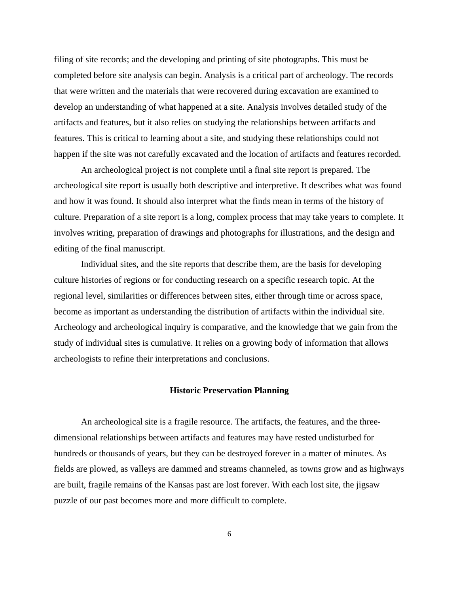filing of site records; and the developing and printing of site photographs. This must be completed before site analysis can begin. Analysis is a critical part of archeology. The records that were written and the materials that were recovered during excavation are examined to develop an understanding of what happened at a site. Analysis involves detailed study of the artifacts and features, but it also relies on studying the relationships between artifacts and features. This is critical to learning about a site, and studying these relationships could not happen if the site was not carefully excavated and the location of artifacts and features recorded.

An archeological project is not complete until a final site report is prepared. The archeological site report is usually both descriptive and interpretive. It describes what was found and how it was found. It should also interpret what the finds mean in terms of the history of culture. Preparation of a site report is a long, complex process that may take years to complete. It involves writing, preparation of drawings and photographs for illustrations, and the design and editing of the final manuscript.

Individual sites, and the site reports that describe them, are the basis for developing culture histories of regions or for conducting research on a specific research topic. At the regional level, similarities or differences between sites, either through time or across space, become as important as understanding the distribution of artifacts within the individual site. Archeology and archeological inquiry is comparative, and the knowledge that we gain from the study of individual sites is cumulative. It relies on a growing body of information that allows archeologists to refine their interpretations and conclusions.

# **Historic Preservation Planning**

An archeological site is a fragile resource. The artifacts, the features, and the threedimensional relationships between artifacts and features may have rested undisturbed for hundreds or thousands of years, but they can be destroyed forever in a matter of minutes. As fields are plowed, as valleys are dammed and streams channeled, as towns grow and as highways are built, fragile remains of the Kansas past are lost forever. With each lost site, the jigsaw puzzle of our past becomes more and more difficult to complete.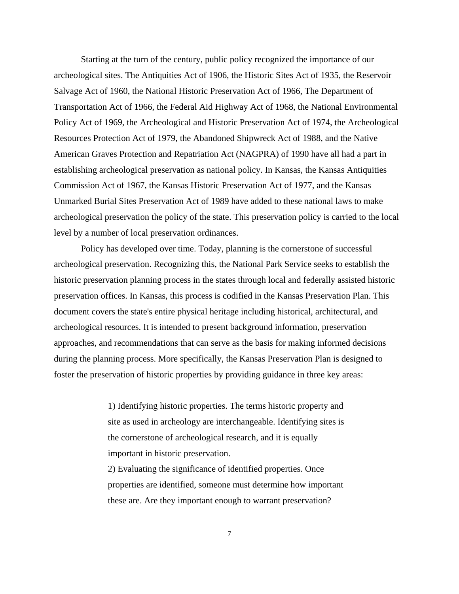Starting at the turn of the century, public policy recognized the importance of our archeological sites. The Antiquities Act of 1906, the Historic Sites Act of 1935, the Reservoir Salvage Act of 1960, the National Historic Preservation Act of 1966, The Department of Transportation Act of 1966, the Federal Aid Highway Act of 1968, the National Environmental Policy Act of 1969, the Archeological and Historic Preservation Act of 1974, the Archeological Resources Protection Act of 1979, the Abandoned Shipwreck Act of 1988, and the Native American Graves Protection and Repatriation Act (NAGPRA) of 1990 have all had a part in establishing archeological preservation as national policy. In Kansas, the Kansas Antiquities Commission Act of 1967, the Kansas Historic Preservation Act of 1977, and the Kansas Unmarked Burial Sites Preservation Act of 1989 have added to these national laws to make archeological preservation the policy of the state. This preservation policy is carried to the local level by a number of local preservation ordinances.

Policy has developed over time. Today, planning is the cornerstone of successful archeological preservation. Recognizing this, the National Park Service seeks to establish the historic preservation planning process in the states through local and federally assisted historic preservation offices. In Kansas, this process is codified in the Kansas Preservation Plan. This document covers the state's entire physical heritage including historical, architectural, and archeological resources. It is intended to present background information, preservation approaches, and recommendations that can serve as the basis for making informed decisions during the planning process. More specifically, the Kansas Preservation Plan is designed to foster the preservation of historic properties by providing guidance in three key areas:

> 1) Identifying historic properties. The terms historic property and site as used in archeology are interchangeable. Identifying sites is the cornerstone of archeological research, and it is equally important in historic preservation.

> 2) Evaluating the significance of identified properties. Once properties are identified, someone must determine how important these are. Are they important enough to warrant preservation?

> > 7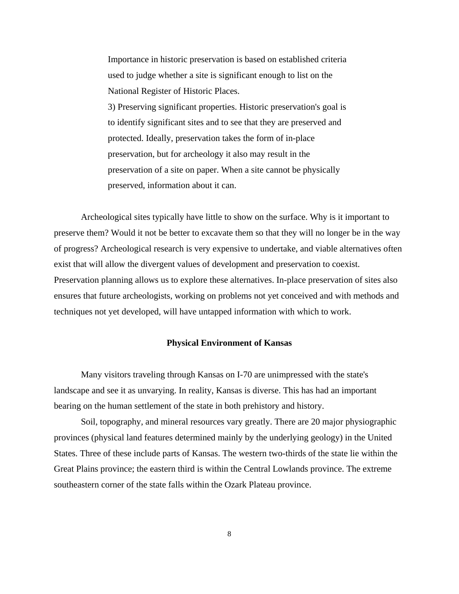Importance in historic preservation is based on established criteria used to judge whether a site is significant enough to list on the National Register of Historic Places. 3) Preserving significant properties. Historic preservation's goal is to identify significant sites and to see that they are preserved and protected. Ideally, preservation takes the form of in-place preservation, but for archeology it also may result in the preservation of a site on paper. When a site cannot be physically preserved, information about it can.

Archeological sites typically have little to show on the surface. Why is it important to preserve them? Would it not be better to excavate them so that they will no longer be in the way of progress? Archeological research is very expensive to undertake, and viable alternatives often exist that will allow the divergent values of development and preservation to coexist. Preservation planning allows us to explore these alternatives. In-place preservation of sites also ensures that future archeologists, working on problems not yet conceived and with methods and techniques not yet developed, will have untapped information with which to work.

#### **Physical Environment of Kansas**

Many visitors traveling through Kansas on I-70 are unimpressed with the state's landscape and see it as unvarying. In reality, Kansas is diverse. This has had an important bearing on the human settlement of the state in both prehistory and history.

Soil, topography, and mineral resources vary greatly. There are 20 major physiographic provinces (physical land features determined mainly by the underlying geology) in the United States. Three of these include parts of Kansas. The western two-thirds of the state lie within the Great Plains province; the eastern third is within the Central Lowlands province. The extreme southeastern corner of the state falls within the Ozark Plateau province.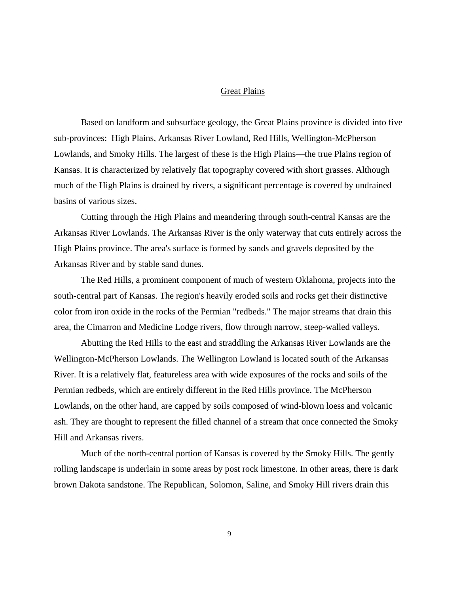#### Great Plains

Based on landform and subsurface geology, the Great Plains province is divided into five sub-provinces: High Plains, Arkansas River Lowland, Red Hills, Wellington-McPherson Lowlands, and Smoky Hills. The largest of these is the High Plains—the true Plains region of Kansas. It is characterized by relatively flat topography covered with short grasses. Although much of the High Plains is drained by rivers, a significant percentage is covered by undrained basins of various sizes.

Cutting through the High Plains and meandering through south-central Kansas are the Arkansas River Lowlands. The Arkansas River is the only waterway that cuts entirely across the High Plains province. The area's surface is formed by sands and gravels deposited by the Arkansas River and by stable sand dunes.

The Red Hills, a prominent component of much of western Oklahoma, projects into the south-central part of Kansas. The region's heavily eroded soils and rocks get their distinctive color from iron oxide in the rocks of the Permian "redbeds." The major streams that drain this area, the Cimarron and Medicine Lodge rivers, flow through narrow, steep-walled valleys.

Abutting the Red Hills to the east and straddling the Arkansas River Lowlands are the Wellington-McPherson Lowlands. The Wellington Lowland is located south of the Arkansas River. It is a relatively flat, featureless area with wide exposures of the rocks and soils of the Permian redbeds, which are entirely different in the Red Hills province. The McPherson Lowlands, on the other hand, are capped by soils composed of wind-blown loess and volcanic ash. They are thought to represent the filled channel of a stream that once connected the Smoky Hill and Arkansas rivers.

Much of the north-central portion of Kansas is covered by the Smoky Hills. The gently rolling landscape is underlain in some areas by post rock limestone. In other areas, there is dark brown Dakota sandstone. The Republican, Solomon, Saline, and Smoky Hill rivers drain this

9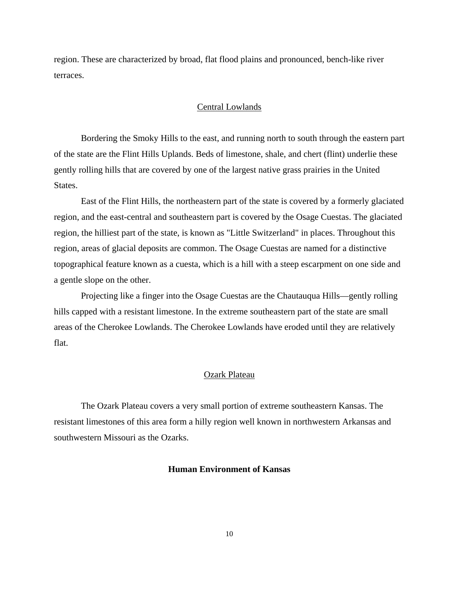region. These are characterized by broad, flat flood plains and pronounced, bench-like river terraces.

### Central Lowlands

Bordering the Smoky Hills to the east, and running north to south through the eastern part of the state are the Flint Hills Uplands. Beds of limestone, shale, and chert (flint) underlie these gently rolling hills that are covered by one of the largest native grass prairies in the United States.

East of the Flint Hills, the northeastern part of the state is covered by a formerly glaciated region, and the east-central and southeastern part is covered by the Osage Cuestas. The glaciated region, the hilliest part of the state, is known as "Little Switzerland" in places. Throughout this region, areas of glacial deposits are common. The Osage Cuestas are named for a distinctive topographical feature known as a cuesta, which is a hill with a steep escarpment on one side and a gentle slope on the other.

Projecting like a finger into the Osage Cuestas are the Chautauqua Hills—gently rolling hills capped with a resistant limestone. In the extreme southeastern part of the state are small areas of the Cherokee Lowlands. The Cherokee Lowlands have eroded until they are relatively flat.

#### Ozark Plateau

The Ozark Plateau covers a very small portion of extreme southeastern Kansas. The resistant limestones of this area form a hilly region well known in northwestern Arkansas and southwestern Missouri as the Ozarks.

#### **Human Environment of Kansas**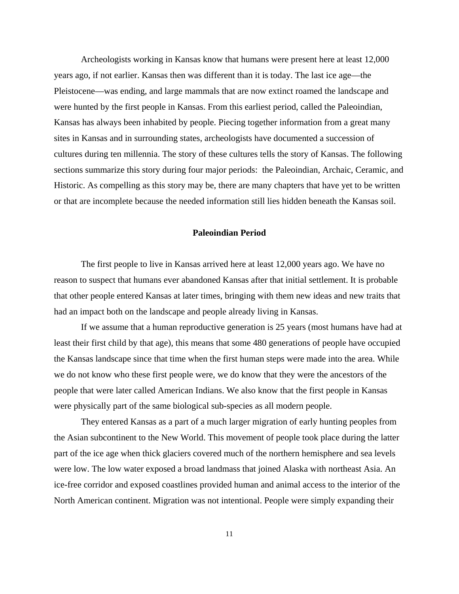Archeologists working in Kansas know that humans were present here at least 12,000 years ago, if not earlier. Kansas then was different than it is today. The last ice age—the Pleistocene—was ending, and large mammals that are now extinct roamed the landscape and were hunted by the first people in Kansas. From this earliest period, called the Paleoindian, Kansas has always been inhabited by people. Piecing together information from a great many sites in Kansas and in surrounding states, archeologists have documented a succession of cultures during ten millennia. The story of these cultures tells the story of Kansas. The following sections summarize this story during four major periods: the Paleoindian, Archaic, Ceramic, and Historic. As compelling as this story may be, there are many chapters that have yet to be written or that are incomplete because the needed information still lies hidden beneath the Kansas soil.

#### **Paleoindian Period**

The first people to live in Kansas arrived here at least 12,000 years ago. We have no reason to suspect that humans ever abandoned Kansas after that initial settlement. It is probable that other people entered Kansas at later times, bringing with them new ideas and new traits that had an impact both on the landscape and people already living in Kansas.

If we assume that a human reproductive generation is 25 years (most humans have had at least their first child by that age), this means that some 480 generations of people have occupied the Kansas landscape since that time when the first human steps were made into the area. While we do not know who these first people were, we do know that they were the ancestors of the people that were later called American Indians. We also know that the first people in Kansas were physically part of the same biological sub-species as all modern people.

They entered Kansas as a part of a much larger migration of early hunting peoples from the Asian subcontinent to the New World. This movement of people took place during the latter part of the ice age when thick glaciers covered much of the northern hemisphere and sea levels were low. The low water exposed a broad landmass that joined Alaska with northeast Asia. An ice-free corridor and exposed coastlines provided human and animal access to the interior of the North American continent. Migration was not intentional. People were simply expanding their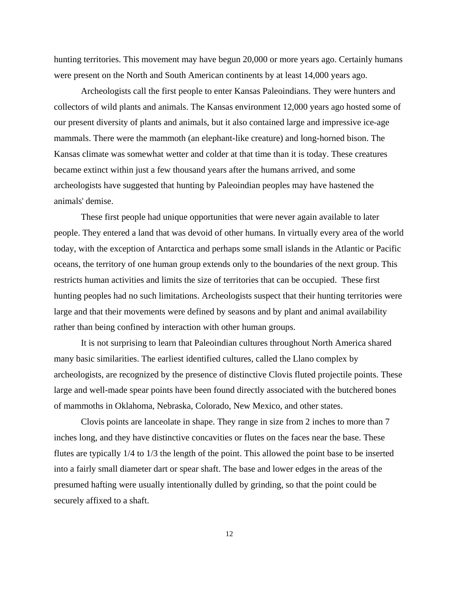hunting territories. This movement may have begun 20,000 or more years ago. Certainly humans were present on the North and South American continents by at least 14,000 years ago.

Archeologists call the first people to enter Kansas Paleoindians. They were hunters and collectors of wild plants and animals. The Kansas environment 12,000 years ago hosted some of our present diversity of plants and animals, but it also contained large and impressive ice-age mammals. There were the mammoth (an elephant-like creature) and long-horned bison. The Kansas climate was somewhat wetter and colder at that time than it is today. These creatures became extinct within just a few thousand years after the humans arrived, and some archeologists have suggested that hunting by Paleoindian peoples may have hastened the animals' demise.

These first people had unique opportunities that were never again available to later people. They entered a land that was devoid of other humans. In virtually every area of the world today, with the exception of Antarctica and perhaps some small islands in the Atlantic or Pacific oceans, the territory of one human group extends only to the boundaries of the next group. This restricts human activities and limits the size of territories that can be occupied. These first hunting peoples had no such limitations. Archeologists suspect that their hunting territories were large and that their movements were defined by seasons and by plant and animal availability rather than being confined by interaction with other human groups.

It is not surprising to learn that Paleoindian cultures throughout North America shared many basic similarities. The earliest identified cultures, called the Llano complex by archeologists, are recognized by the presence of distinctive Clovis fluted projectile points. These large and well-made spear points have been found directly associated with the butchered bones of mammoths in Oklahoma, Nebraska, Colorado, New Mexico, and other states.

Clovis points are lanceolate in shape. They range in size from 2 inches to more than 7 inches long, and they have distinctive concavities or flutes on the faces near the base. These flutes are typically 1/4 to 1/3 the length of the point. This allowed the point base to be inserted into a fairly small diameter dart or spear shaft. The base and lower edges in the areas of the presumed hafting were usually intentionally dulled by grinding, so that the point could be securely affixed to a shaft.

12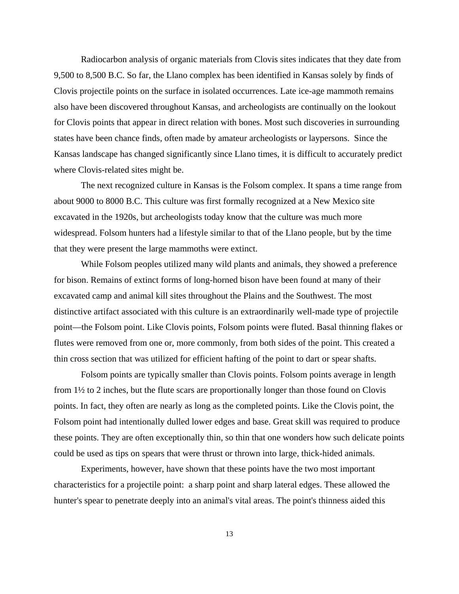Radiocarbon analysis of organic materials from Clovis sites indicates that they date from 9,500 to 8,500 B.C. So far, the Llano complex has been identified in Kansas solely by finds of Clovis projectile points on the surface in isolated occurrences. Late ice-age mammoth remains also have been discovered throughout Kansas, and archeologists are continually on the lookout for Clovis points that appear in direct relation with bones. Most such discoveries in surrounding states have been chance finds, often made by amateur archeologists or laypersons. Since the Kansas landscape has changed significantly since Llano times, it is difficult to accurately predict where Clovis-related sites might be.

The next recognized culture in Kansas is the Folsom complex. It spans a time range from about 9000 to 8000 B.C. This culture was first formally recognized at a New Mexico site excavated in the 1920s, but archeologists today know that the culture was much more widespread. Folsom hunters had a lifestyle similar to that of the Llano people, but by the time that they were present the large mammoths were extinct.

While Folsom peoples utilized many wild plants and animals, they showed a preference for bison. Remains of extinct forms of long-horned bison have been found at many of their excavated camp and animal kill sites throughout the Plains and the Southwest. The most distinctive artifact associated with this culture is an extraordinarily well-made type of projectile point—the Folsom point. Like Clovis points, Folsom points were fluted. Basal thinning flakes or flutes were removed from one or, more commonly, from both sides of the point. This created a thin cross section that was utilized for efficient hafting of the point to dart or spear shafts.

Folsom points are typically smaller than Clovis points. Folsom points average in length from 1½ to 2 inches, but the flute scars are proportionally longer than those found on Clovis points. In fact, they often are nearly as long as the completed points. Like the Clovis point, the Folsom point had intentionally dulled lower edges and base. Great skill was required to produce these points. They are often exceptionally thin, so thin that one wonders how such delicate points could be used as tips on spears that were thrust or thrown into large, thick-hided animals.

Experiments, however, have shown that these points have the two most important characteristics for a projectile point: a sharp point and sharp lateral edges. These allowed the hunter's spear to penetrate deeply into an animal's vital areas. The point's thinness aided this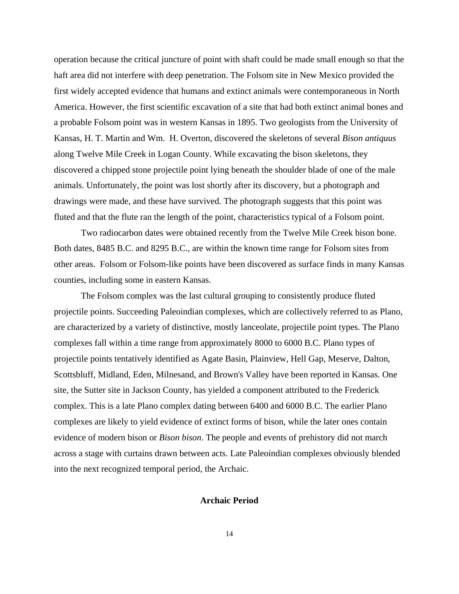operation because the critical juncture of point with shaft could be made small enough so that the haft area did not interfere with deep penetration. The Folsom site in New Mexico provided the first widely accepted evidence that humans and extinct animals were contemporaneous in North America. However, the first scientific excavation of a site that had both extinct animal bones and a probable Folsom point was in western Kansas in 1895. Two geologists from the University of Kansas, H. T. Martin and Wm. H. Overton, discovered the skeletons of several *Bison antiquus* along Twelve Mile Creek in Logan County. While excavating the bison skeletons, they discovered a chipped stone projectile point lying beneath the shoulder blade of one of the male animals. Unfortunately, the point was lost shortly after its discovery, but a photograph and drawings were made, and these have survived. The photograph suggests that this point was fluted and that the flute ran the length of the point, characteristics typical of a Folsom point.

Two radiocarbon dates were obtained recently from the Twelve Mile Creek bison bone. Both dates, 8485 B.C. and 8295 B.C., are within the known time range for Folsom sites from other areas. Folsom or Folsom-like points have been discovered as surface finds in many Kansas counties, including some in eastern Kansas.

The Folsom complex was the last cultural grouping to consistently produce fluted projectile points. Succeeding Paleoindian complexes, which are collectively referred to as Plano, are characterized by a variety of distinctive, mostly lanceolate, projectile point types. The Plano complexes fall within a time range from approximately 8000 to 6000 B.C. Plano types of projectile points tentatively identified as Agate Basin, Plainview, Hell Gap, Meserve, Dalton, Scottsbluff, Midland, Eden, Milnesand, and Brown's Valley have been reported in Kansas. One site, the Sutter site in Jackson County, has yielded a component attributed to the Frederick complex. This is a late Plano complex dating between 6400 and 6000 B.C. The earlier Plano complexes are likely to yield evidence of extinct forms of bison, while the later ones contain evidence of modern bison or *Bison bison*. The people and events of prehistory did not march across a stage with curtains drawn between acts. Late Paleoindian complexes obviously blended into the next recognized temporal period, the Archaic.

#### **Archaic Period**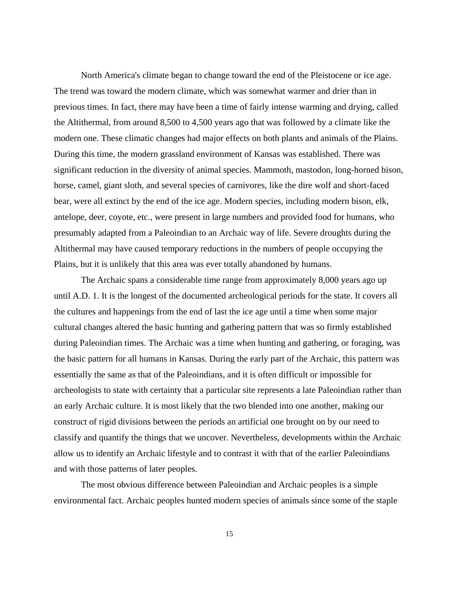North America's climate began to change toward the end of the Pleistocene or ice age. The trend was toward the modern climate, which was somewhat warmer and drier than in previous times. In fact, there may have been a time of fairly intense warming and drying, called the Altithermal, from around 8,500 to 4,500 years ago that was followed by a climate like the modern one. These climatic changes had major effects on both plants and animals of the Plains. During this time, the modern grassland environment of Kansas was established. There was significant reduction in the diversity of animal species. Mammoth, mastodon, long-horned bison, horse, camel, giant sloth, and several species of carnivores, like the dire wolf and short-faced bear, were all extinct by the end of the ice age. Modern species, including modern bison, elk, antelope, deer, coyote, etc., were present in large numbers and provided food for humans, who presumably adapted from a Paleoindian to an Archaic way of life. Severe droughts during the Altithermal may have caused temporary reductions in the numbers of people occupying the Plains, but it is unlikely that this area was ever totally abandoned by humans.

The Archaic spans a considerable time range from approximately 8,000 years ago up until A.D. 1. It is the longest of the documented archeological periods for the state. It covers all the cultures and happenings from the end of last the ice age until a time when some major cultural changes altered the basic hunting and gathering pattern that was so firmly established during Paleoindian times. The Archaic was a time when hunting and gathering, or foraging, was the basic pattern for all humans in Kansas. During the early part of the Archaic, this pattern was essentially the same as that of the Paleoindians, and it is often difficult or impossible for archeologists to state with certainty that a particular site represents a late Paleoindian rather than an early Archaic culture. It is most likely that the two blended into one another, making our construct of rigid divisions between the periods an artificial one brought on by our need to classify and quantify the things that we uncover. Nevertheless, developments within the Archaic allow us to identify an Archaic lifestyle and to contrast it with that of the earlier Paleoindians and with those patterns of later peoples.

The most obvious difference between Paleoindian and Archaic peoples is a simple environmental fact. Archaic peoples hunted modern species of animals since some of the staple

15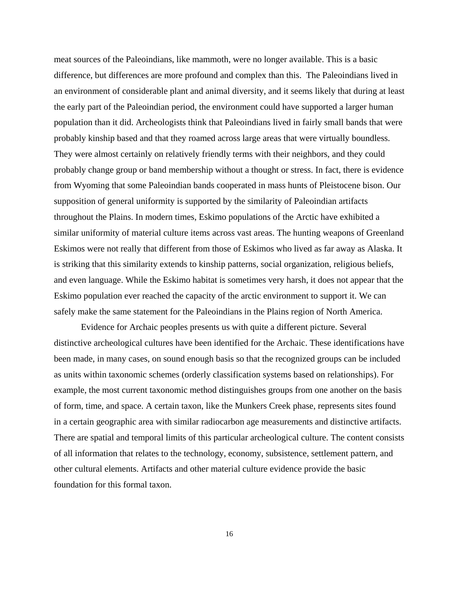meat sources of the Paleoindians, like mammoth, were no longer available. This is a basic difference, but differences are more profound and complex than this. The Paleoindians lived in an environment of considerable plant and animal diversity, and it seems likely that during at least the early part of the Paleoindian period, the environment could have supported a larger human population than it did. Archeologists think that Paleoindians lived in fairly small bands that were probably kinship based and that they roamed across large areas that were virtually boundless. They were almost certainly on relatively friendly terms with their neighbors, and they could probably change group or band membership without a thought or stress. In fact, there is evidence from Wyoming that some Paleoindian bands cooperated in mass hunts of Pleistocene bison. Our supposition of general uniformity is supported by the similarity of Paleoindian artifacts throughout the Plains. In modern times, Eskimo populations of the Arctic have exhibited a similar uniformity of material culture items across vast areas. The hunting weapons of Greenland Eskimos were not really that different from those of Eskimos who lived as far away as Alaska. It is striking that this similarity extends to kinship patterns, social organization, religious beliefs, and even language. While the Eskimo habitat is sometimes very harsh, it does not appear that the Eskimo population ever reached the capacity of the arctic environment to support it. We can safely make the same statement for the Paleoindians in the Plains region of North America.

Evidence for Archaic peoples presents us with quite a different picture. Several distinctive archeological cultures have been identified for the Archaic. These identifications have been made, in many cases, on sound enough basis so that the recognized groups can be included as units within taxonomic schemes (orderly classification systems based on relationships). For example, the most current taxonomic method distinguishes groups from one another on the basis of form, time, and space. A certain taxon, like the Munkers Creek phase, represents sites found in a certain geographic area with similar radiocarbon age measurements and distinctive artifacts. There are spatial and temporal limits of this particular archeological culture. The content consists of all information that relates to the technology, economy, subsistence, settlement pattern, and other cultural elements. Artifacts and other material culture evidence provide the basic foundation for this formal taxon.

16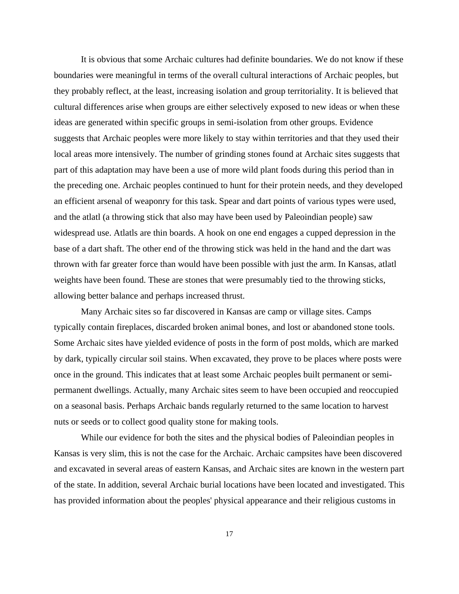It is obvious that some Archaic cultures had definite boundaries. We do not know if these boundaries were meaningful in terms of the overall cultural interactions of Archaic peoples, but they probably reflect, at the least, increasing isolation and group territoriality. It is believed that cultural differences arise when groups are either selectively exposed to new ideas or when these ideas are generated within specific groups in semi-isolation from other groups. Evidence suggests that Archaic peoples were more likely to stay within territories and that they used their local areas more intensively. The number of grinding stones found at Archaic sites suggests that part of this adaptation may have been a use of more wild plant foods during this period than in the preceding one. Archaic peoples continued to hunt for their protein needs, and they developed an efficient arsenal of weaponry for this task. Spear and dart points of various types were used, and the atlatl (a throwing stick that also may have been used by Paleoindian people) saw widespread use. Atlatls are thin boards. A hook on one end engages a cupped depression in the base of a dart shaft. The other end of the throwing stick was held in the hand and the dart was thrown with far greater force than would have been possible with just the arm. In Kansas, atlatl weights have been found. These are stones that were presumably tied to the throwing sticks, allowing better balance and perhaps increased thrust.

Many Archaic sites so far discovered in Kansas are camp or village sites. Camps typically contain fireplaces, discarded broken animal bones, and lost or abandoned stone tools. Some Archaic sites have yielded evidence of posts in the form of post molds, which are marked by dark, typically circular soil stains. When excavated, they prove to be places where posts were once in the ground. This indicates that at least some Archaic peoples built permanent or semipermanent dwellings. Actually, many Archaic sites seem to have been occupied and reoccupied on a seasonal basis. Perhaps Archaic bands regularly returned to the same location to harvest nuts or seeds or to collect good quality stone for making tools.

While our evidence for both the sites and the physical bodies of Paleoindian peoples in Kansas is very slim, this is not the case for the Archaic. Archaic campsites have been discovered and excavated in several areas of eastern Kansas, and Archaic sites are known in the western part of the state. In addition, several Archaic burial locations have been located and investigated. This has provided information about the peoples' physical appearance and their religious customs in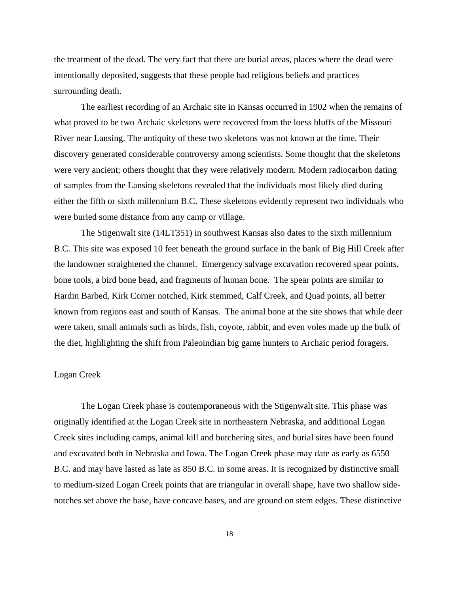the treatment of the dead. The very fact that there are burial areas, places where the dead were intentionally deposited, suggests that these people had religious beliefs and practices surrounding death.

The earliest recording of an Archaic site in Kansas occurred in 1902 when the remains of what proved to be two Archaic skeletons were recovered from the loess bluffs of the Missouri River near Lansing. The antiquity of these two skeletons was not known at the time. Their discovery generated considerable controversy among scientists. Some thought that the skeletons were very ancient; others thought that they were relatively modern. Modern radiocarbon dating of samples from the Lansing skeletons revealed that the individuals most likely died during either the fifth or sixth millennium B.C. These skeletons evidently represent two individuals who were buried some distance from any camp or village.

The Stigenwalt site (14LT351) in southwest Kansas also dates to the sixth millennium B.C. This site was exposed 10 feet beneath the ground surface in the bank of Big Hill Creek after the landowner straightened the channel. Emergency salvage excavation recovered spear points, bone tools, a bird bone bead, and fragments of human bone. The spear points are similar to Hardin Barbed, Kirk Corner notched, Kirk stemmed, Calf Creek, and Quad points, all better known from regions east and south of Kansas. The animal bone at the site shows that while deer were taken, small animals such as birds, fish, coyote, rabbit, and even voles made up the bulk of the diet, highlighting the shift from Paleoindian big game hunters to Archaic period foragers.

#### Logan Creek

The Logan Creek phase is contemporaneous with the Stigenwalt site. This phase was originally identified at the Logan Creek site in northeastern Nebraska, and additional Logan Creek sites including camps, animal kill and butchering sites, and burial sites have been found and excavated both in Nebraska and Iowa. The Logan Creek phase may date as early as 6550 B.C. and may have lasted as late as 850 B.C. in some areas. It is recognized by distinctive small to medium-sized Logan Creek points that are triangular in overall shape, have two shallow sidenotches set above the base, have concave bases, and are ground on stem edges. These distinctive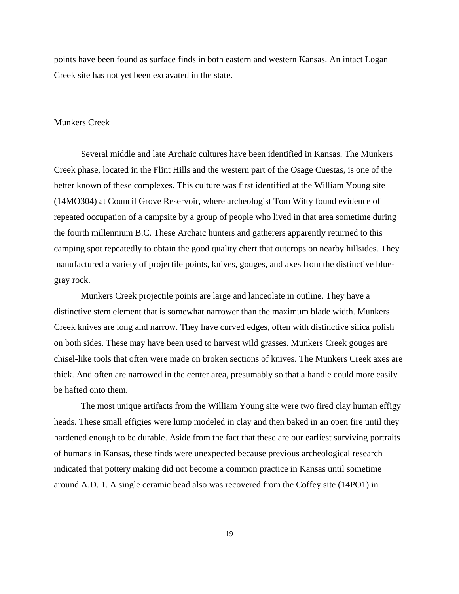points have been found as surface finds in both eastern and western Kansas. An intact Logan Creek site has not yet been excavated in the state.

#### Munkers Creek

Several middle and late Archaic cultures have been identified in Kansas. The Munkers Creek phase, located in the Flint Hills and the western part of the Osage Cuestas, is one of the better known of these complexes. This culture was first identified at the William Young site (14MO304) at Council Grove Reservoir, where archeologist Tom Witty found evidence of repeated occupation of a campsite by a group of people who lived in that area sometime during the fourth millennium B.C. These Archaic hunters and gatherers apparently returned to this camping spot repeatedly to obtain the good quality chert that outcrops on nearby hillsides. They manufactured a variety of projectile points, knives, gouges, and axes from the distinctive bluegray rock.

Munkers Creek projectile points are large and lanceolate in outline. They have a distinctive stem element that is somewhat narrower than the maximum blade width. Munkers Creek knives are long and narrow. They have curved edges, often with distinctive silica polish on both sides. These may have been used to harvest wild grasses. Munkers Creek gouges are chisel-like tools that often were made on broken sections of knives. The Munkers Creek axes are thick. And often are narrowed in the center area, presumably so that a handle could more easily be hafted onto them.

The most unique artifacts from the William Young site were two fired clay human effigy heads. These small effigies were lump modeled in clay and then baked in an open fire until they hardened enough to be durable. Aside from the fact that these are our earliest surviving portraits of humans in Kansas, these finds were unexpected because previous archeological research indicated that pottery making did not become a common practice in Kansas until sometime around A.D. 1. A single ceramic bead also was recovered from the Coffey site (14PO1) in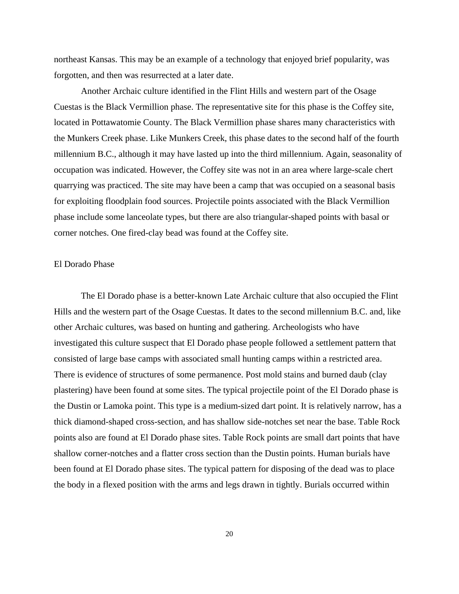northeast Kansas. This may be an example of a technology that enjoyed brief popularity, was forgotten, and then was resurrected at a later date.

Another Archaic culture identified in the Flint Hills and western part of the Osage Cuestas is the Black Vermillion phase. The representative site for this phase is the Coffey site, located in Pottawatomie County. The Black Vermillion phase shares many characteristics with the Munkers Creek phase. Like Munkers Creek, this phase dates to the second half of the fourth millennium B.C., although it may have lasted up into the third millennium. Again, seasonality of occupation was indicated. However, the Coffey site was not in an area where large-scale chert quarrying was practiced. The site may have been a camp that was occupied on a seasonal basis for exploiting floodplain food sources. Projectile points associated with the Black Vermillion phase include some lanceolate types, but there are also triangular-shaped points with basal or corner notches. One fired-clay bead was found at the Coffey site.

#### El Dorado Phase

The El Dorado phase is a better-known Late Archaic culture that also occupied the Flint Hills and the western part of the Osage Cuestas. It dates to the second millennium B.C. and, like other Archaic cultures, was based on hunting and gathering. Archeologists who have investigated this culture suspect that El Dorado phase people followed a settlement pattern that consisted of large base camps with associated small hunting camps within a restricted area. There is evidence of structures of some permanence. Post mold stains and burned daub (clay plastering) have been found at some sites. The typical projectile point of the El Dorado phase is the Dustin or Lamoka point. This type is a medium-sized dart point. It is relatively narrow, has a thick diamond-shaped cross-section, and has shallow side-notches set near the base. Table Rock points also are found at El Dorado phase sites. Table Rock points are small dart points that have shallow corner-notches and a flatter cross section than the Dustin points. Human burials have been found at El Dorado phase sites. The typical pattern for disposing of the dead was to place the body in a flexed position with the arms and legs drawn in tightly. Burials occurred within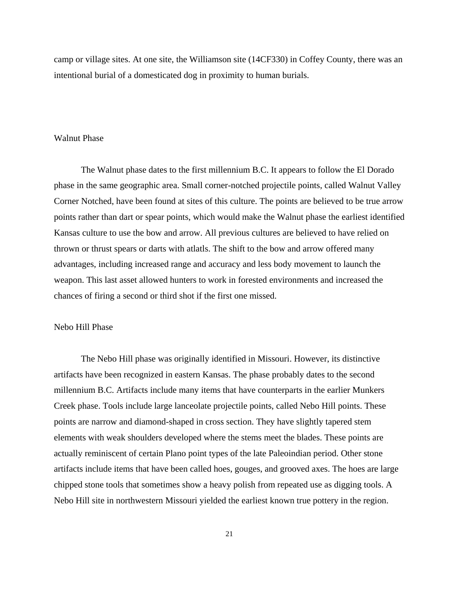camp or village sites. At one site, the Williamson site (14CF330) in Coffey County, there was an intentional burial of a domesticated dog in proximity to human burials.

#### Walnut Phase

The Walnut phase dates to the first millennium B.C. It appears to follow the El Dorado phase in the same geographic area. Small corner-notched projectile points, called Walnut Valley Corner Notched, have been found at sites of this culture. The points are believed to be true arrow points rather than dart or spear points, which would make the Walnut phase the earliest identified Kansas culture to use the bow and arrow. All previous cultures are believed to have relied on thrown or thrust spears or darts with atlatls. The shift to the bow and arrow offered many advantages, including increased range and accuracy and less body movement to launch the weapon. This last asset allowed hunters to work in forested environments and increased the chances of firing a second or third shot if the first one missed.

#### Nebo Hill Phase

The Nebo Hill phase was originally identified in Missouri. However, its distinctive artifacts have been recognized in eastern Kansas. The phase probably dates to the second millennium B.C. Artifacts include many items that have counterparts in the earlier Munkers Creek phase. Tools include large lanceolate projectile points, called Nebo Hill points. These points are narrow and diamond-shaped in cross section. They have slightly tapered stem elements with weak shoulders developed where the stems meet the blades. These points are actually reminiscent of certain Plano point types of the late Paleoindian period. Other stone artifacts include items that have been called hoes, gouges, and grooved axes. The hoes are large chipped stone tools that sometimes show a heavy polish from repeated use as digging tools. A Nebo Hill site in northwestern Missouri yielded the earliest known true pottery in the region.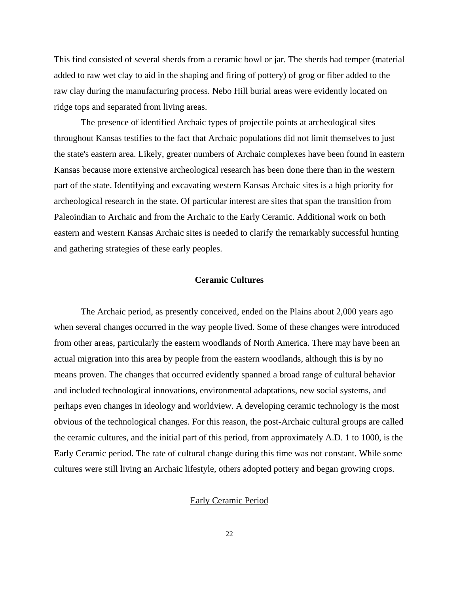This find consisted of several sherds from a ceramic bowl or jar. The sherds had temper (material added to raw wet clay to aid in the shaping and firing of pottery) of grog or fiber added to the raw clay during the manufacturing process. Nebo Hill burial areas were evidently located on ridge tops and separated from living areas.

The presence of identified Archaic types of projectile points at archeological sites throughout Kansas testifies to the fact that Archaic populations did not limit themselves to just the state's eastern area. Likely, greater numbers of Archaic complexes have been found in eastern Kansas because more extensive archeological research has been done there than in the western part of the state. Identifying and excavating western Kansas Archaic sites is a high priority for archeological research in the state. Of particular interest are sites that span the transition from Paleoindian to Archaic and from the Archaic to the Early Ceramic. Additional work on both eastern and western Kansas Archaic sites is needed to clarify the remarkably successful hunting and gathering strategies of these early peoples.

### **Ceramic Cultures**

The Archaic period, as presently conceived, ended on the Plains about 2,000 years ago when several changes occurred in the way people lived. Some of these changes were introduced from other areas, particularly the eastern woodlands of North America. There may have been an actual migration into this area by people from the eastern woodlands, although this is by no means proven. The changes that occurred evidently spanned a broad range of cultural behavior and included technological innovations, environmental adaptations, new social systems, and perhaps even changes in ideology and worldview. A developing ceramic technology is the most obvious of the technological changes. For this reason, the post-Archaic cultural groups are called the ceramic cultures, and the initial part of this period, from approximately A.D. 1 to 1000, is the Early Ceramic period. The rate of cultural change during this time was not constant. While some cultures were still living an Archaic lifestyle, others adopted pottery and began growing crops.

### Early Ceramic Period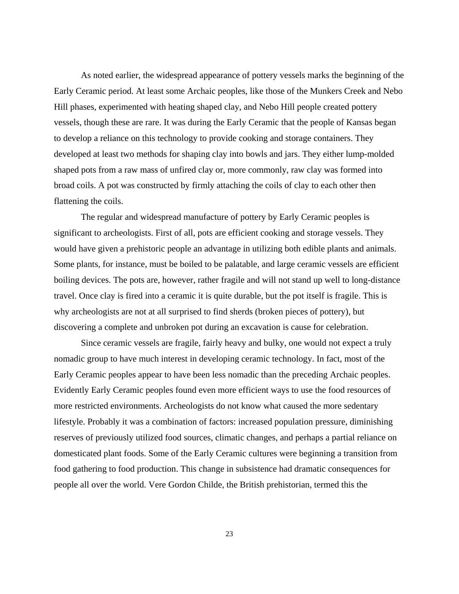As noted earlier, the widespread appearance of pottery vessels marks the beginning of the Early Ceramic period. At least some Archaic peoples, like those of the Munkers Creek and Nebo Hill phases, experimented with heating shaped clay, and Nebo Hill people created pottery vessels, though these are rare. It was during the Early Ceramic that the people of Kansas began to develop a reliance on this technology to provide cooking and storage containers. They developed at least two methods for shaping clay into bowls and jars. They either lump-molded shaped pots from a raw mass of unfired clay or, more commonly, raw clay was formed into broad coils. A pot was constructed by firmly attaching the coils of clay to each other then flattening the coils.

The regular and widespread manufacture of pottery by Early Ceramic peoples is significant to archeologists. First of all, pots are efficient cooking and storage vessels. They would have given a prehistoric people an advantage in utilizing both edible plants and animals. Some plants, for instance, must be boiled to be palatable, and large ceramic vessels are efficient boiling devices. The pots are, however, rather fragile and will not stand up well to long-distance travel. Once clay is fired into a ceramic it is quite durable, but the pot itself is fragile. This is why archeologists are not at all surprised to find sherds (broken pieces of pottery), but discovering a complete and unbroken pot during an excavation is cause for celebration.

Since ceramic vessels are fragile, fairly heavy and bulky, one would not expect a truly nomadic group to have much interest in developing ceramic technology. In fact, most of the Early Ceramic peoples appear to have been less nomadic than the preceding Archaic peoples. Evidently Early Ceramic peoples found even more efficient ways to use the food resources of more restricted environments. Archeologists do not know what caused the more sedentary lifestyle. Probably it was a combination of factors: increased population pressure, diminishing reserves of previously utilized food sources, climatic changes, and perhaps a partial reliance on domesticated plant foods. Some of the Early Ceramic cultures were beginning a transition from food gathering to food production. This change in subsistence had dramatic consequences for people all over the world. Vere Gordon Childe, the British prehistorian, termed this the

23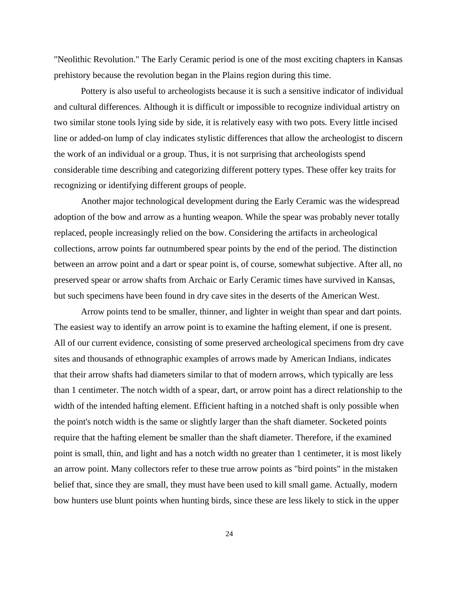"Neolithic Revolution." The Early Ceramic period is one of the most exciting chapters in Kansas prehistory because the revolution began in the Plains region during this time.

Pottery is also useful to archeologists because it is such a sensitive indicator of individual and cultural differences. Although it is difficult or impossible to recognize individual artistry on two similar stone tools lying side by side, it is relatively easy with two pots. Every little incised line or added-on lump of clay indicates stylistic differences that allow the archeologist to discern the work of an individual or a group. Thus, it is not surprising that archeologists spend considerable time describing and categorizing different pottery types. These offer key traits for recognizing or identifying different groups of people.

Another major technological development during the Early Ceramic was the widespread adoption of the bow and arrow as a hunting weapon. While the spear was probably never totally replaced, people increasingly relied on the bow. Considering the artifacts in archeological collections, arrow points far outnumbered spear points by the end of the period. The distinction between an arrow point and a dart or spear point is, of course, somewhat subjective. After all, no preserved spear or arrow shafts from Archaic or Early Ceramic times have survived in Kansas, but such specimens have been found in dry cave sites in the deserts of the American West.

Arrow points tend to be smaller, thinner, and lighter in weight than spear and dart points. The easiest way to identify an arrow point is to examine the hafting element, if one is present. All of our current evidence, consisting of some preserved archeological specimens from dry cave sites and thousands of ethnographic examples of arrows made by American Indians, indicates that their arrow shafts had diameters similar to that of modern arrows, which typically are less than 1 centimeter. The notch width of a spear, dart, or arrow point has a direct relationship to the width of the intended hafting element. Efficient hafting in a notched shaft is only possible when the point's notch width is the same or slightly larger than the shaft diameter. Socketed points require that the hafting element be smaller than the shaft diameter. Therefore, if the examined point is small, thin, and light and has a notch width no greater than 1 centimeter, it is most likely an arrow point. Many collectors refer to these true arrow points as "bird points" in the mistaken belief that, since they are small, they must have been used to kill small game. Actually, modern bow hunters use blunt points when hunting birds, since these are less likely to stick in the upper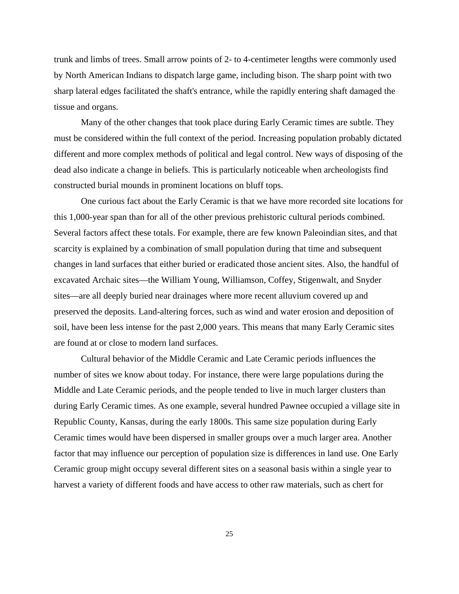trunk and limbs of trees. Small arrow points of 2- to 4-centimeter lengths were commonly used by North American Indians to dispatch large game, including bison. The sharp point with two sharp lateral edges facilitated the shaft's entrance, while the rapidly entering shaft damaged the tissue and organs.

Many of the other changes that took place during Early Ceramic times are subtle. They must be considered within the full context of the period. Increasing population probably dictated different and more complex methods of political and legal control. New ways of disposing of the dead also indicate a change in beliefs. This is particularly noticeable when archeologists find constructed burial mounds in prominent locations on bluff tops.

One curious fact about the Early Ceramic is that we have more recorded site locations for this 1,000-year span than for all of the other previous prehistoric cultural periods combined. Several factors affect these totals. For example, there are few known Paleoindian sites, and that scarcity is explained by a combination of small population during that time and subsequent changes in land surfaces that either buried or eradicated those ancient sites. Also, the handful of excavated Archaic sites—the William Young, Williamson, Coffey, Stigenwalt, and Snyder sites—are all deeply buried near drainages where more recent alluvium covered up and preserved the deposits. Land-altering forces, such as wind and water erosion and deposition of soil, have been less intense for the past 2,000 years. This means that many Early Ceramic sites are found at or close to modern land surfaces.

Cultural behavior of the Middle Ceramic and Late Ceramic periods influences the number of sites we know about today. For instance, there were large populations during the Middle and Late Ceramic periods, and the people tended to live in much larger clusters than during Early Ceramic times. As one example, several hundred Pawnee occupied a village site in Republic County, Kansas, during the early 1800s. This same size population during Early Ceramic times would have been dispersed in smaller groups over a much larger area. Another factor that may influence our perception of population size is differences in land use. One Early Ceramic group might occupy several different sites on a seasonal basis within a single year to harvest a variety of different foods and have access to other raw materials, such as chert for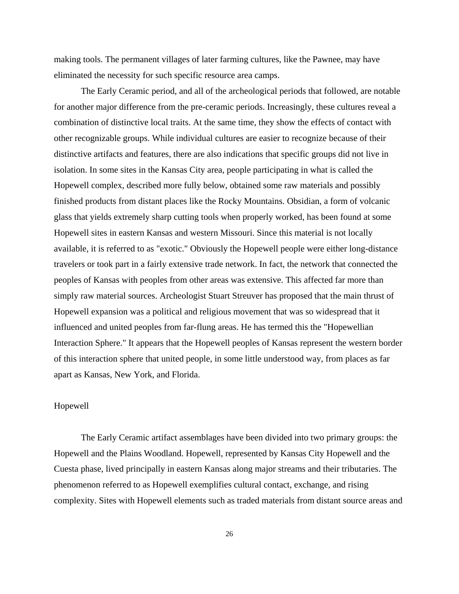making tools. The permanent villages of later farming cultures, like the Pawnee, may have eliminated the necessity for such specific resource area camps.

The Early Ceramic period, and all of the archeological periods that followed, are notable for another major difference from the pre-ceramic periods. Increasingly, these cultures reveal a combination of distinctive local traits. At the same time, they show the effects of contact with other recognizable groups. While individual cultures are easier to recognize because of their distinctive artifacts and features, there are also indications that specific groups did not live in isolation. In some sites in the Kansas City area, people participating in what is called the Hopewell complex, described more fully below, obtained some raw materials and possibly finished products from distant places like the Rocky Mountains. Obsidian, a form of volcanic glass that yields extremely sharp cutting tools when properly worked, has been found at some Hopewell sites in eastern Kansas and western Missouri. Since this material is not locally available, it is referred to as "exotic." Obviously the Hopewell people were either long-distance travelers or took part in a fairly extensive trade network. In fact, the network that connected the peoples of Kansas with peoples from other areas was extensive. This affected far more than simply raw material sources. Archeologist Stuart Streuver has proposed that the main thrust of Hopewell expansion was a political and religious movement that was so widespread that it influenced and united peoples from far-flung areas. He has termed this the "Hopewellian Interaction Sphere." It appears that the Hopewell peoples of Kansas represent the western border of this interaction sphere that united people, in some little understood way, from places as far apart as Kansas, New York, and Florida.

# Hopewell

The Early Ceramic artifact assemblages have been divided into two primary groups: the Hopewell and the Plains Woodland. Hopewell, represented by Kansas City Hopewell and the Cuesta phase, lived principally in eastern Kansas along major streams and their tributaries. The phenomenon referred to as Hopewell exemplifies cultural contact, exchange, and rising complexity. Sites with Hopewell elements such as traded materials from distant source areas and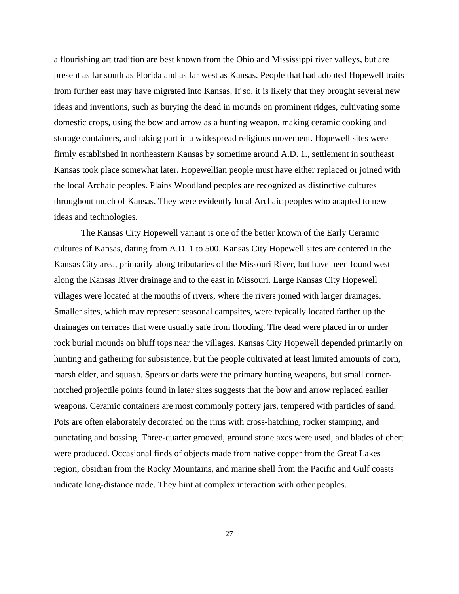a flourishing art tradition are best known from the Ohio and Mississippi river valleys, but are present as far south as Florida and as far west as Kansas. People that had adopted Hopewell traits from further east may have migrated into Kansas. If so, it is likely that they brought several new ideas and inventions, such as burying the dead in mounds on prominent ridges, cultivating some domestic crops, using the bow and arrow as a hunting weapon, making ceramic cooking and storage containers, and taking part in a widespread religious movement. Hopewell sites were firmly established in northeastern Kansas by sometime around A.D. 1., settlement in southeast Kansas took place somewhat later. Hopewellian people must have either replaced or joined with the local Archaic peoples. Plains Woodland peoples are recognized as distinctive cultures throughout much of Kansas. They were evidently local Archaic peoples who adapted to new ideas and technologies.

The Kansas City Hopewell variant is one of the better known of the Early Ceramic cultures of Kansas, dating from A.D. 1 to 500. Kansas City Hopewell sites are centered in the Kansas City area, primarily along tributaries of the Missouri River, but have been found west along the Kansas River drainage and to the east in Missouri. Large Kansas City Hopewell villages were located at the mouths of rivers, where the rivers joined with larger drainages. Smaller sites, which may represent seasonal campsites, were typically located farther up the drainages on terraces that were usually safe from flooding. The dead were placed in or under rock burial mounds on bluff tops near the villages. Kansas City Hopewell depended primarily on hunting and gathering for subsistence, but the people cultivated at least limited amounts of corn, marsh elder, and squash. Spears or darts were the primary hunting weapons, but small cornernotched projectile points found in later sites suggests that the bow and arrow replaced earlier weapons. Ceramic containers are most commonly pottery jars, tempered with particles of sand. Pots are often elaborately decorated on the rims with cross-hatching, rocker stamping, and punctating and bossing. Three-quarter grooved, ground stone axes were used, and blades of chert were produced. Occasional finds of objects made from native copper from the Great Lakes region, obsidian from the Rocky Mountains, and marine shell from the Pacific and Gulf coasts indicate long-distance trade. They hint at complex interaction with other peoples.

27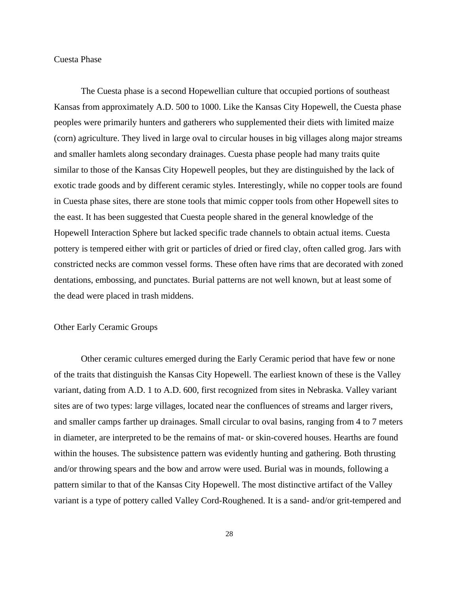#### Cuesta Phase

The Cuesta phase is a second Hopewellian culture that occupied portions of southeast Kansas from approximately A.D. 500 to 1000. Like the Kansas City Hopewell, the Cuesta phase peoples were primarily hunters and gatherers who supplemented their diets with limited maize (corn) agriculture. They lived in large oval to circular houses in big villages along major streams and smaller hamlets along secondary drainages. Cuesta phase people had many traits quite similar to those of the Kansas City Hopewell peoples, but they are distinguished by the lack of exotic trade goods and by different ceramic styles. Interestingly, while no copper tools are found in Cuesta phase sites, there are stone tools that mimic copper tools from other Hopewell sites to the east. It has been suggested that Cuesta people shared in the general knowledge of the Hopewell Interaction Sphere but lacked specific trade channels to obtain actual items. Cuesta pottery is tempered either with grit or particles of dried or fired clay, often called grog. Jars with constricted necks are common vessel forms. These often have rims that are decorated with zoned dentations, embossing, and punctates. Burial patterns are not well known, but at least some of the dead were placed in trash middens.

### Other Early Ceramic Groups

Other ceramic cultures emerged during the Early Ceramic period that have few or none of the traits that distinguish the Kansas City Hopewell. The earliest known of these is the Valley variant, dating from A.D. 1 to A.D. 600, first recognized from sites in Nebraska. Valley variant sites are of two types: large villages, located near the confluences of streams and larger rivers, and smaller camps farther up drainages. Small circular to oval basins, ranging from 4 to 7 meters in diameter, are interpreted to be the remains of mat- or skin-covered houses. Hearths are found within the houses. The subsistence pattern was evidently hunting and gathering. Both thrusting and/or throwing spears and the bow and arrow were used. Burial was in mounds, following a pattern similar to that of the Kansas City Hopewell. The most distinctive artifact of the Valley variant is a type of pottery called Valley Cord-Roughened. It is a sand- and/or grit-tempered and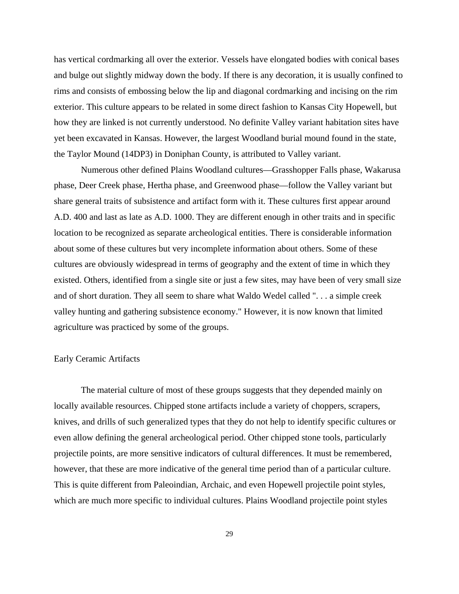has vertical cordmarking all over the exterior. Vessels have elongated bodies with conical bases and bulge out slightly midway down the body. If there is any decoration, it is usually confined to rims and consists of embossing below the lip and diagonal cordmarking and incising on the rim exterior. This culture appears to be related in some direct fashion to Kansas City Hopewell, but how they are linked is not currently understood. No definite Valley variant habitation sites have yet been excavated in Kansas. However, the largest Woodland burial mound found in the state, the Taylor Mound (14DP3) in Doniphan County, is attributed to Valley variant.

Numerous other defined Plains Woodland cultures—Grasshopper Falls phase, Wakarusa phase, Deer Creek phase, Hertha phase, and Greenwood phase—follow the Valley variant but share general traits of subsistence and artifact form with it. These cultures first appear around A.D. 400 and last as late as A.D. 1000. They are different enough in other traits and in specific location to be recognized as separate archeological entities. There is considerable information about some of these cultures but very incomplete information about others. Some of these cultures are obviously widespread in terms of geography and the extent of time in which they existed. Others, identified from a single site or just a few sites, may have been of very small size and of short duration. They all seem to share what Waldo Wedel called ". . . a simple creek valley hunting and gathering subsistence economy." However, it is now known that limited agriculture was practiced by some of the groups.

#### Early Ceramic Artifacts

The material culture of most of these groups suggests that they depended mainly on locally available resources. Chipped stone artifacts include a variety of choppers, scrapers, knives, and drills of such generalized types that they do not help to identify specific cultures or even allow defining the general archeological period. Other chipped stone tools, particularly projectile points, are more sensitive indicators of cultural differences. It must be remembered, however, that these are more indicative of the general time period than of a particular culture. This is quite different from Paleoindian, Archaic, and even Hopewell projectile point styles, which are much more specific to individual cultures. Plains Woodland projectile point styles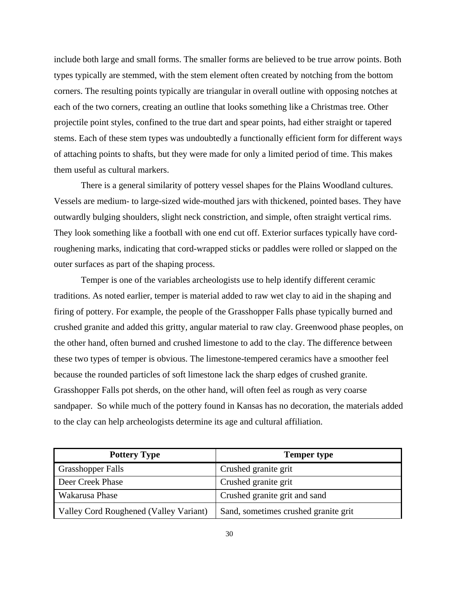include both large and small forms. The smaller forms are believed to be true arrow points. Both types typically are stemmed, with the stem element often created by notching from the bottom corners. The resulting points typically are triangular in overall outline with opposing notches at each of the two corners, creating an outline that looks something like a Christmas tree. Other projectile point styles, confined to the true dart and spear points, had either straight or tapered stems. Each of these stem types was undoubtedly a functionally efficient form for different ways of attaching points to shafts, but they were made for only a limited period of time. This makes them useful as cultural markers.

There is a general similarity of pottery vessel shapes for the Plains Woodland cultures. Vessels are medium- to large-sized wide-mouthed jars with thickened, pointed bases. They have outwardly bulging shoulders, slight neck constriction, and simple, often straight vertical rims. They look something like a football with one end cut off. Exterior surfaces typically have cordroughening marks, indicating that cord-wrapped sticks or paddles were rolled or slapped on the outer surfaces as part of the shaping process.

Temper is one of the variables archeologists use to help identify different ceramic traditions. As noted earlier, temper is material added to raw wet clay to aid in the shaping and firing of pottery. For example, the people of the Grasshopper Falls phase typically burned and crushed granite and added this gritty, angular material to raw clay. Greenwood phase peoples, on the other hand, often burned and crushed limestone to add to the clay. The difference between these two types of temper is obvious. The limestone-tempered ceramics have a smoother feel because the rounded particles of soft limestone lack the sharp edges of crushed granite. Grasshopper Falls pot sherds, on the other hand, will often feel as rough as very coarse sandpaper. So while much of the pottery found in Kansas has no decoration, the materials added to the clay can help archeologists determine its age and cultural affiliation.

| <b>Pottery Type</b>                    | <b>Temper type</b>                   |
|----------------------------------------|--------------------------------------|
| <b>Grasshopper Falls</b>               | Crushed granite grit                 |
| Deer Creek Phase                       | Crushed granite grit                 |
| Wakarusa Phase                         | Crushed granite grit and sand        |
| Valley Cord Roughened (Valley Variant) | Sand, sometimes crushed granite grit |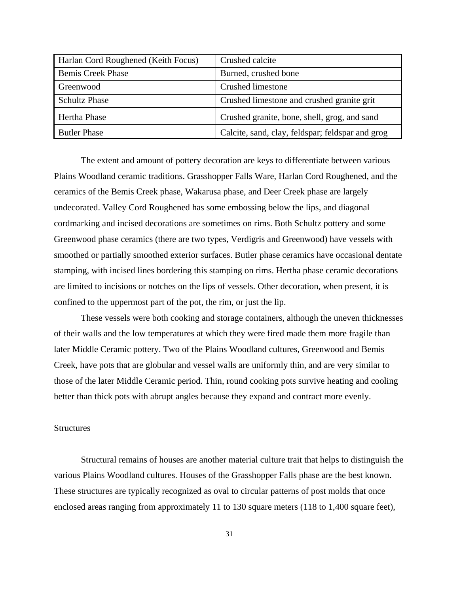| Harlan Cord Roughened (Keith Focus) | Crushed calcite                                  |
|-------------------------------------|--------------------------------------------------|
| <b>Bemis Creek Phase</b>            | Burned, crushed bone                             |
| Greenwood                           | Crushed limestone                                |
| <b>Schultz Phase</b>                | Crushed limestone and crushed granite grit       |
| <b>Hertha Phase</b>                 | Crushed granite, bone, shell, grog, and sand     |
| <b>Butler Phase</b>                 | Calcite, sand, clay, feldspar; feldspar and grog |

The extent and amount of pottery decoration are keys to differentiate between various Plains Woodland ceramic traditions. Grasshopper Falls Ware, Harlan Cord Roughened, and the ceramics of the Bemis Creek phase, Wakarusa phase, and Deer Creek phase are largely undecorated. Valley Cord Roughened has some embossing below the lips, and diagonal cordmarking and incised decorations are sometimes on rims. Both Schultz pottery and some Greenwood phase ceramics (there are two types, Verdigris and Greenwood) have vessels with smoothed or partially smoothed exterior surfaces. Butler phase ceramics have occasional dentate stamping, with incised lines bordering this stamping on rims. Hertha phase ceramic decorations are limited to incisions or notches on the lips of vessels. Other decoration, when present, it is confined to the uppermost part of the pot, the rim, or just the lip.

These vessels were both cooking and storage containers, although the uneven thicknesses of their walls and the low temperatures at which they were fired made them more fragile than later Middle Ceramic pottery. Two of the Plains Woodland cultures, Greenwood and Bemis Creek, have pots that are globular and vessel walls are uniformly thin, and are very similar to those of the later Middle Ceramic period. Thin, round cooking pots survive heating and cooling better than thick pots with abrupt angles because they expand and contract more evenly.

#### **Structures**

Structural remains of houses are another material culture trait that helps to distinguish the various Plains Woodland cultures. Houses of the Grasshopper Falls phase are the best known. These structures are typically recognized as oval to circular patterns of post molds that once enclosed areas ranging from approximately 11 to 130 square meters (118 to 1,400 square feet),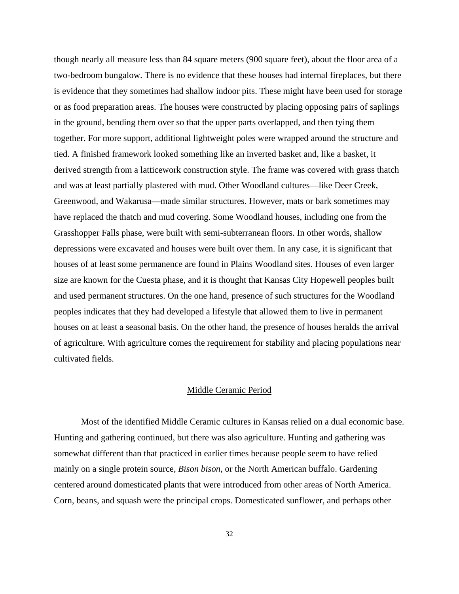though nearly all measure less than 84 square meters (900 square feet), about the floor area of a two-bedroom bungalow. There is no evidence that these houses had internal fireplaces, but there is evidence that they sometimes had shallow indoor pits. These might have been used for storage or as food preparation areas. The houses were constructed by placing opposing pairs of saplings in the ground, bending them over so that the upper parts overlapped, and then tying them together. For more support, additional lightweight poles were wrapped around the structure and tied. A finished framework looked something like an inverted basket and, like a basket, it derived strength from a latticework construction style. The frame was covered with grass thatch and was at least partially plastered with mud. Other Woodland cultures—like Deer Creek, Greenwood, and Wakarusa—made similar structures. However, mats or bark sometimes may have replaced the thatch and mud covering. Some Woodland houses, including one from the Grasshopper Falls phase, were built with semi-subterranean floors. In other words, shallow depressions were excavated and houses were built over them. In any case, it is significant that houses of at least some permanence are found in Plains Woodland sites. Houses of even larger size are known for the Cuesta phase, and it is thought that Kansas City Hopewell peoples built and used permanent structures. On the one hand, presence of such structures for the Woodland peoples indicates that they had developed a lifestyle that allowed them to live in permanent houses on at least a seasonal basis. On the other hand, the presence of houses heralds the arrival of agriculture. With agriculture comes the requirement for stability and placing populations near cultivated fields.

### Middle Ceramic Period

Most of the identified Middle Ceramic cultures in Kansas relied on a dual economic base. Hunting and gathering continued, but there was also agriculture. Hunting and gathering was somewhat different than that practiced in earlier times because people seem to have relied mainly on a single protein source, *Bison bison*, or the North American buffalo. Gardening centered around domesticated plants that were introduced from other areas of North America. Corn, beans, and squash were the principal crops. Domesticated sunflower, and perhaps other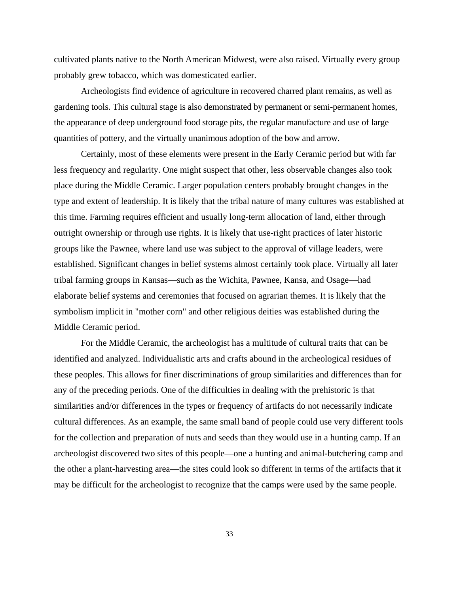cultivated plants native to the North American Midwest, were also raised. Virtually every group probably grew tobacco, which was domesticated earlier.

Archeologists find evidence of agriculture in recovered charred plant remains, as well as gardening tools. This cultural stage is also demonstrated by permanent or semi-permanent homes, the appearance of deep underground food storage pits, the regular manufacture and use of large quantities of pottery, and the virtually unanimous adoption of the bow and arrow.

Certainly, most of these elements were present in the Early Ceramic period but with far less frequency and regularity. One might suspect that other, less observable changes also took place during the Middle Ceramic. Larger population centers probably brought changes in the type and extent of leadership. It is likely that the tribal nature of many cultures was established at this time. Farming requires efficient and usually long-term allocation of land, either through outright ownership or through use rights. It is likely that use-right practices of later historic groups like the Pawnee, where land use was subject to the approval of village leaders, were established. Significant changes in belief systems almost certainly took place. Virtually all later tribal farming groups in Kansas—such as the Wichita, Pawnee, Kansa, and Osage—had elaborate belief systems and ceremonies that focused on agrarian themes. It is likely that the symbolism implicit in "mother corn" and other religious deities was established during the Middle Ceramic period.

For the Middle Ceramic, the archeologist has a multitude of cultural traits that can be identified and analyzed. Individualistic arts and crafts abound in the archeological residues of these peoples. This allows for finer discriminations of group similarities and differences than for any of the preceding periods. One of the difficulties in dealing with the prehistoric is that similarities and/or differences in the types or frequency of artifacts do not necessarily indicate cultural differences. As an example, the same small band of people could use very different tools for the collection and preparation of nuts and seeds than they would use in a hunting camp. If an archeologist discovered two sites of this people—one a hunting and animal-butchering camp and the other a plant-harvesting area—the sites could look so different in terms of the artifacts that it may be difficult for the archeologist to recognize that the camps were used by the same people.

33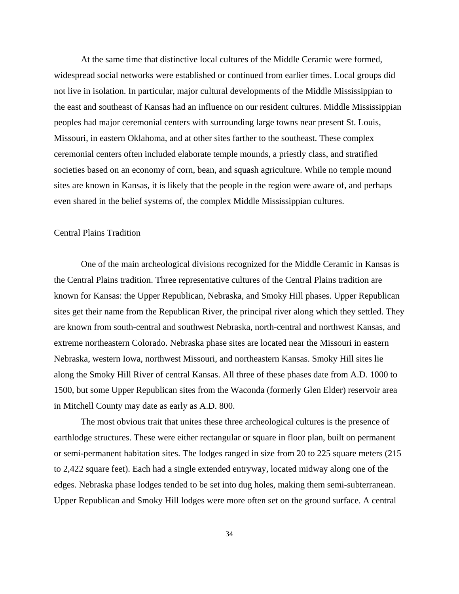At the same time that distinctive local cultures of the Middle Ceramic were formed, widespread social networks were established or continued from earlier times. Local groups did not live in isolation. In particular, major cultural developments of the Middle Mississippian to the east and southeast of Kansas had an influence on our resident cultures. Middle Mississippian peoples had major ceremonial centers with surrounding large towns near present St. Louis, Missouri, in eastern Oklahoma, and at other sites farther to the southeast. These complex ceremonial centers often included elaborate temple mounds, a priestly class, and stratified societies based on an economy of corn, bean, and squash agriculture. While no temple mound sites are known in Kansas, it is likely that the people in the region were aware of, and perhaps even shared in the belief systems of, the complex Middle Mississippian cultures.

### Central Plains Tradition

One of the main archeological divisions recognized for the Middle Ceramic in Kansas is the Central Plains tradition. Three representative cultures of the Central Plains tradition are known for Kansas: the Upper Republican, Nebraska, and Smoky Hill phases. Upper Republican sites get their name from the Republican River, the principal river along which they settled. They are known from south-central and southwest Nebraska, north-central and northwest Kansas, and extreme northeastern Colorado. Nebraska phase sites are located near the Missouri in eastern Nebraska, western Iowa, northwest Missouri, and northeastern Kansas. Smoky Hill sites lie along the Smoky Hill River of central Kansas. All three of these phases date from A.D. 1000 to 1500, but some Upper Republican sites from the Waconda (formerly Glen Elder) reservoir area in Mitchell County may date as early as A.D. 800.

The most obvious trait that unites these three archeological cultures is the presence of earthlodge structures. These were either rectangular or square in floor plan, built on permanent or semi-permanent habitation sites. The lodges ranged in size from 20 to 225 square meters (215 to 2,422 square feet). Each had a single extended entryway, located midway along one of the edges. Nebraska phase lodges tended to be set into dug holes, making them semi-subterranean. Upper Republican and Smoky Hill lodges were more often set on the ground surface. A central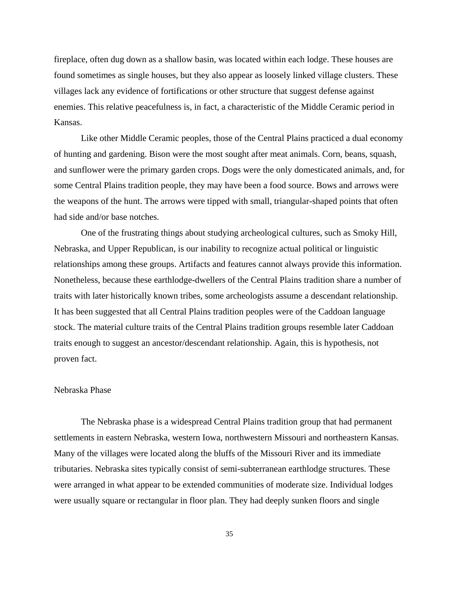fireplace, often dug down as a shallow basin, was located within each lodge. These houses are found sometimes as single houses, but they also appear as loosely linked village clusters. These villages lack any evidence of fortifications or other structure that suggest defense against enemies. This relative peacefulness is, in fact, a characteristic of the Middle Ceramic period in Kansas.

Like other Middle Ceramic peoples, those of the Central Plains practiced a dual economy of hunting and gardening. Bison were the most sought after meat animals. Corn, beans, squash, and sunflower were the primary garden crops. Dogs were the only domesticated animals, and, for some Central Plains tradition people, they may have been a food source. Bows and arrows were the weapons of the hunt. The arrows were tipped with small, triangular-shaped points that often had side and/or base notches.

One of the frustrating things about studying archeological cultures, such as Smoky Hill, Nebraska, and Upper Republican, is our inability to recognize actual political or linguistic relationships among these groups. Artifacts and features cannot always provide this information. Nonetheless, because these earthlodge-dwellers of the Central Plains tradition share a number of traits with later historically known tribes, some archeologists assume a descendant relationship. It has been suggested that all Central Plains tradition peoples were of the Caddoan language stock. The material culture traits of the Central Plains tradition groups resemble later Caddoan traits enough to suggest an ancestor/descendant relationship. Again, this is hypothesis, not proven fact.

#### Nebraska Phase

The Nebraska phase is a widespread Central Plains tradition group that had permanent settlements in eastern Nebraska, western Iowa, northwestern Missouri and northeastern Kansas. Many of the villages were located along the bluffs of the Missouri River and its immediate tributaries. Nebraska sites typically consist of semi-subterranean earthlodge structures. These were arranged in what appear to be extended communities of moderate size. Individual lodges were usually square or rectangular in floor plan. They had deeply sunken floors and single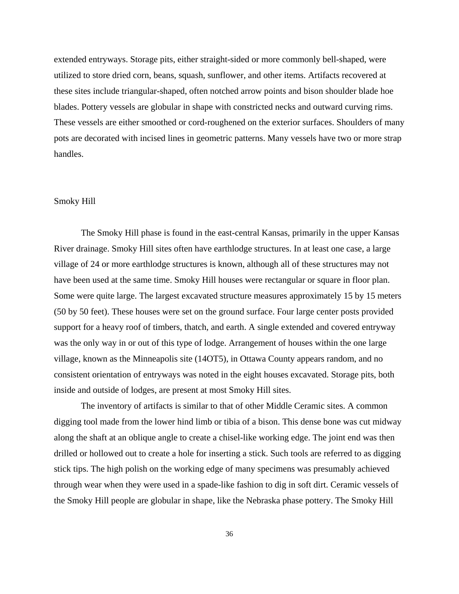extended entryways. Storage pits, either straight-sided or more commonly bell-shaped, were utilized to store dried corn, beans, squash, sunflower, and other items. Artifacts recovered at these sites include triangular-shaped, often notched arrow points and bison shoulder blade hoe blades. Pottery vessels are globular in shape with constricted necks and outward curving rims. These vessels are either smoothed or cord-roughened on the exterior surfaces. Shoulders of many pots are decorated with incised lines in geometric patterns. Many vessels have two or more strap handles.

#### Smoky Hill

The Smoky Hill phase is found in the east-central Kansas, primarily in the upper Kansas River drainage. Smoky Hill sites often have earthlodge structures. In at least one case, a large village of 24 or more earthlodge structures is known, although all of these structures may not have been used at the same time. Smoky Hill houses were rectangular or square in floor plan. Some were quite large. The largest excavated structure measures approximately 15 by 15 meters (50 by 50 feet). These houses were set on the ground surface. Four large center posts provided support for a heavy roof of timbers, thatch, and earth. A single extended and covered entryway was the only way in or out of this type of lodge. Arrangement of houses within the one large village, known as the Minneapolis site (14OT5), in Ottawa County appears random, and no consistent orientation of entryways was noted in the eight houses excavated. Storage pits, both inside and outside of lodges, are present at most Smoky Hill sites.

The inventory of artifacts is similar to that of other Middle Ceramic sites. A common digging tool made from the lower hind limb or tibia of a bison. This dense bone was cut midway along the shaft at an oblique angle to create a chisel-like working edge. The joint end was then drilled or hollowed out to create a hole for inserting a stick. Such tools are referred to as digging stick tips. The high polish on the working edge of many specimens was presumably achieved through wear when they were used in a spade-like fashion to dig in soft dirt. Ceramic vessels of the Smoky Hill people are globular in shape, like the Nebraska phase pottery. The Smoky Hill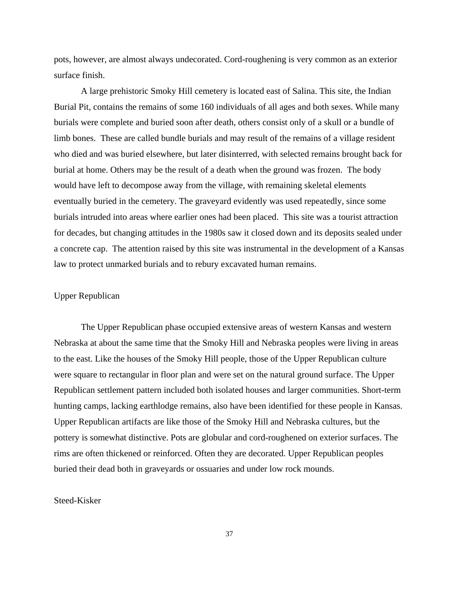pots, however, are almost always undecorated. Cord-roughening is very common as an exterior surface finish.

A large prehistoric Smoky Hill cemetery is located east of Salina. This site, the Indian Burial Pit, contains the remains of some 160 individuals of all ages and both sexes. While many burials were complete and buried soon after death, others consist only of a skull or a bundle of limb bones. These are called bundle burials and may result of the remains of a village resident who died and was buried elsewhere, but later disinterred, with selected remains brought back for burial at home. Others may be the result of a death when the ground was frozen. The body would have left to decompose away from the village, with remaining skeletal elements eventually buried in the cemetery. The graveyard evidently was used repeatedly, since some burials intruded into areas where earlier ones had been placed. This site was a tourist attraction for decades, but changing attitudes in the 1980s saw it closed down and its deposits sealed under a concrete cap. The attention raised by this site was instrumental in the development of a Kansas law to protect unmarked burials and to rebury excavated human remains.

### Upper Republican

The Upper Republican phase occupied extensive areas of western Kansas and western Nebraska at about the same time that the Smoky Hill and Nebraska peoples were living in areas to the east. Like the houses of the Smoky Hill people, those of the Upper Republican culture were square to rectangular in floor plan and were set on the natural ground surface. The Upper Republican settlement pattern included both isolated houses and larger communities. Short-term hunting camps, lacking earthlodge remains, also have been identified for these people in Kansas. Upper Republican artifacts are like those of the Smoky Hill and Nebraska cultures, but the pottery is somewhat distinctive. Pots are globular and cord-roughened on exterior surfaces. The rims are often thickened or reinforced. Often they are decorated. Upper Republican peoples buried their dead both in graveyards or ossuaries and under low rock mounds.

### Steed-Kisker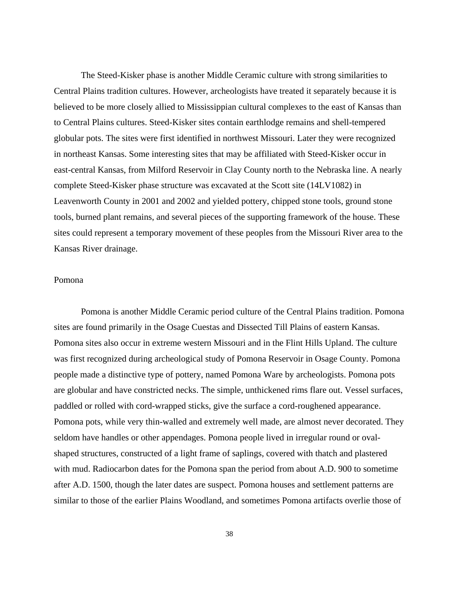The Steed-Kisker phase is another Middle Ceramic culture with strong similarities to Central Plains tradition cultures. However, archeologists have treated it separately because it is believed to be more closely allied to Mississippian cultural complexes to the east of Kansas than to Central Plains cultures. Steed-Kisker sites contain earthlodge remains and shell-tempered globular pots. The sites were first identified in northwest Missouri. Later they were recognized in northeast Kansas. Some interesting sites that may be affiliated with Steed-Kisker occur in east-central Kansas, from Milford Reservoir in Clay County north to the Nebraska line. A nearly complete Steed-Kisker phase structure was excavated at the Scott site (14LV1082) in Leavenworth County in 2001 and 2002 and yielded pottery, chipped stone tools, ground stone tools, burned plant remains, and several pieces of the supporting framework of the house. These sites could represent a temporary movement of these peoples from the Missouri River area to the Kansas River drainage.

### Pomona

Pomona is another Middle Ceramic period culture of the Central Plains tradition. Pomona sites are found primarily in the Osage Cuestas and Dissected Till Plains of eastern Kansas. Pomona sites also occur in extreme western Missouri and in the Flint Hills Upland. The culture was first recognized during archeological study of Pomona Reservoir in Osage County. Pomona people made a distinctive type of pottery, named Pomona Ware by archeologists. Pomona pots are globular and have constricted necks. The simple, unthickened rims flare out. Vessel surfaces, paddled or rolled with cord-wrapped sticks, give the surface a cord-roughened appearance. Pomona pots, while very thin-walled and extremely well made, are almost never decorated. They seldom have handles or other appendages. Pomona people lived in irregular round or ovalshaped structures, constructed of a light frame of saplings, covered with thatch and plastered with mud. Radiocarbon dates for the Pomona span the period from about A.D. 900 to sometime after A.D. 1500, though the later dates are suspect. Pomona houses and settlement patterns are similar to those of the earlier Plains Woodland, and sometimes Pomona artifacts overlie those of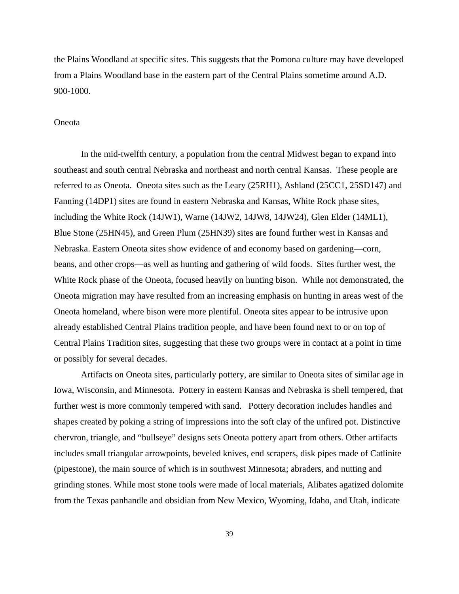the Plains Woodland at specific sites. This suggests that the Pomona culture may have developed from a Plains Woodland base in the eastern part of the Central Plains sometime around A.D. 900-1000.

#### Oneota

 In the mid-twelfth century, a population from the central Midwest began to expand into southeast and south central Nebraska and northeast and north central Kansas. These people are referred to as Oneota. Oneota sites such as the Leary (25RH1), Ashland (25CC1, 25SD147) and Fanning (14DP1) sites are found in eastern Nebraska and Kansas, White Rock phase sites, including the White Rock (14JW1), Warne (14JW2, 14JW8, 14JW24), Glen Elder (14ML1), Blue Stone (25HN45), and Green Plum (25HN39) sites are found further west in Kansas and Nebraska. Eastern Oneota sites show evidence of and economy based on gardening—corn, beans, and other crops—as well as hunting and gathering of wild foods. Sites further west, the White Rock phase of the Oneota, focused heavily on hunting bison. While not demonstrated, the Oneota migration may have resulted from an increasing emphasis on hunting in areas west of the Oneota homeland, where bison were more plentiful. Oneota sites appear to be intrusive upon already established Central Plains tradition people, and have been found next to or on top of Central Plains Tradition sites, suggesting that these two groups were in contact at a point in time or possibly for several decades.

 Artifacts on Oneota sites, particularly pottery, are similar to Oneota sites of similar age in Iowa, Wisconsin, and Minnesota. Pottery in eastern Kansas and Nebraska is shell tempered, that further west is more commonly tempered with sand. Pottery decoration includes handles and shapes created by poking a string of impressions into the soft clay of the unfired pot. Distinctive chervron, triangle, and "bullseye" designs sets Oneota pottery apart from others. Other artifacts includes small triangular arrowpoints, beveled knives, end scrapers, disk pipes made of Catlinite (pipestone), the main source of which is in southwest Minnesota; abraders, and nutting and grinding stones. While most stone tools were made of local materials, Alibates agatized dolomite from the Texas panhandle and obsidian from New Mexico, Wyoming, Idaho, and Utah, indicate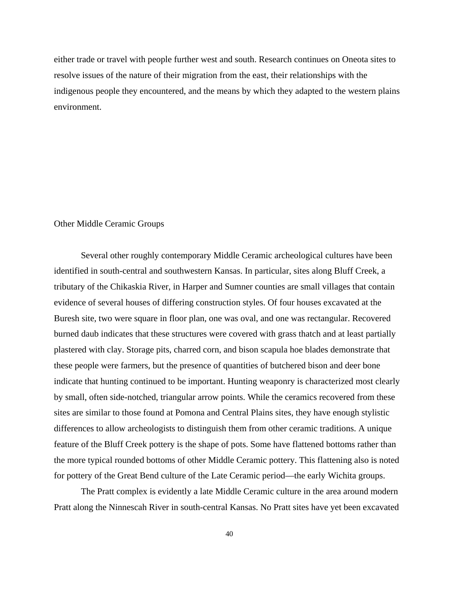either trade or travel with people further west and south. Research continues on Oneota sites to resolve issues of the nature of their migration from the east, their relationships with the indigenous people they encountered, and the means by which they adapted to the western plains environment.

### Other Middle Ceramic Groups

Several other roughly contemporary Middle Ceramic archeological cultures have been identified in south-central and southwestern Kansas. In particular, sites along Bluff Creek, a tributary of the Chikaskia River, in Harper and Sumner counties are small villages that contain evidence of several houses of differing construction styles. Of four houses excavated at the Buresh site, two were square in floor plan, one was oval, and one was rectangular. Recovered burned daub indicates that these structures were covered with grass thatch and at least partially plastered with clay. Storage pits, charred corn, and bison scapula hoe blades demonstrate that these people were farmers, but the presence of quantities of butchered bison and deer bone indicate that hunting continued to be important. Hunting weaponry is characterized most clearly by small, often side-notched, triangular arrow points. While the ceramics recovered from these sites are similar to those found at Pomona and Central Plains sites, they have enough stylistic differences to allow archeologists to distinguish them from other ceramic traditions. A unique feature of the Bluff Creek pottery is the shape of pots. Some have flattened bottoms rather than the more typical rounded bottoms of other Middle Ceramic pottery. This flattening also is noted for pottery of the Great Bend culture of the Late Ceramic period—the early Wichita groups.

The Pratt complex is evidently a late Middle Ceramic culture in the area around modern Pratt along the Ninnescah River in south-central Kansas. No Pratt sites have yet been excavated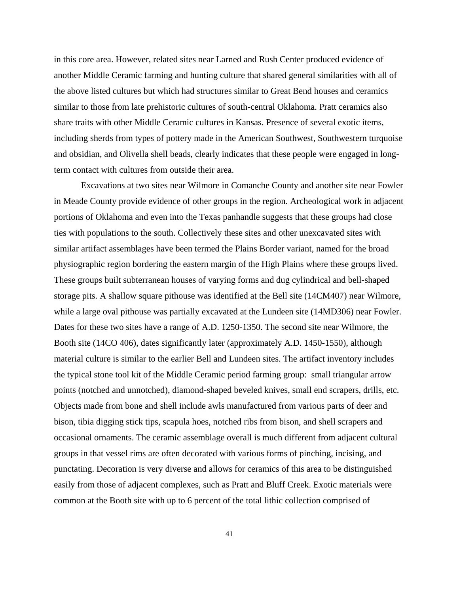in this core area. However, related sites near Larned and Rush Center produced evidence of another Middle Ceramic farming and hunting culture that shared general similarities with all of the above listed cultures but which had structures similar to Great Bend houses and ceramics similar to those from late prehistoric cultures of south-central Oklahoma. Pratt ceramics also share traits with other Middle Ceramic cultures in Kansas. Presence of several exotic items, including sherds from types of pottery made in the American Southwest, Southwestern turquoise and obsidian, and Olivella shell beads, clearly indicates that these people were engaged in longterm contact with cultures from outside their area.

Excavations at two sites near Wilmore in Comanche County and another site near Fowler in Meade County provide evidence of other groups in the region. Archeological work in adjacent portions of Oklahoma and even into the Texas panhandle suggests that these groups had close ties with populations to the south. Collectively these sites and other unexcavated sites with similar artifact assemblages have been termed the Plains Border variant, named for the broad physiographic region bordering the eastern margin of the High Plains where these groups lived. These groups built subterranean houses of varying forms and dug cylindrical and bell-shaped storage pits. A shallow square pithouse was identified at the Bell site (14CM407) near Wilmore, while a large oval pithouse was partially excavated at the Lundeen site (14MD306) near Fowler. Dates for these two sites have a range of A.D. 1250-1350. The second site near Wilmore, the Booth site (14CO 406), dates significantly later (approximately A.D. 1450-1550), although material culture is similar to the earlier Bell and Lundeen sites. The artifact inventory includes the typical stone tool kit of the Middle Ceramic period farming group: small triangular arrow points (notched and unnotched), diamond-shaped beveled knives, small end scrapers, drills, etc. Objects made from bone and shell include awls manufactured from various parts of deer and bison, tibia digging stick tips, scapula hoes, notched ribs from bison, and shell scrapers and occasional ornaments. The ceramic assemblage overall is much different from adjacent cultural groups in that vessel rims are often decorated with various forms of pinching, incising, and punctating. Decoration is very diverse and allows for ceramics of this area to be distinguished easily from those of adjacent complexes, such as Pratt and Bluff Creek. Exotic materials were common at the Booth site with up to 6 percent of the total lithic collection comprised of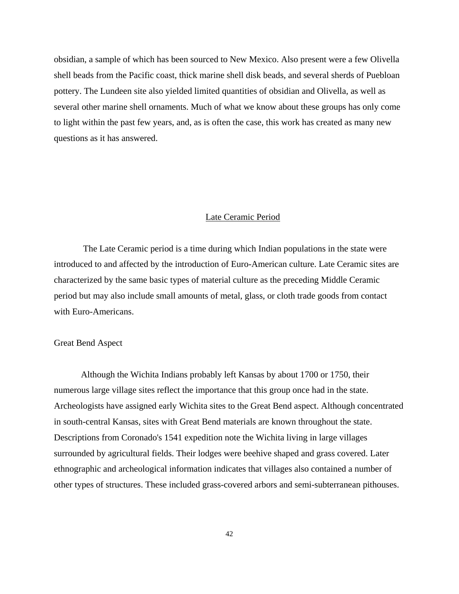obsidian, a sample of which has been sourced to New Mexico. Also present were a few Olivella shell beads from the Pacific coast, thick marine shell disk beads, and several sherds of Puebloan pottery. The Lundeen site also yielded limited quantities of obsidian and Olivella, as well as several other marine shell ornaments. Much of what we know about these groups has only come to light within the past few years, and, as is often the case, this work has created as many new questions as it has answered.

#### Late Ceramic Period

 The Late Ceramic period is a time during which Indian populations in the state were introduced to and affected by the introduction of Euro-American culture. Late Ceramic sites are characterized by the same basic types of material culture as the preceding Middle Ceramic period but may also include small amounts of metal, glass, or cloth trade goods from contact with Euro-Americans.

### Great Bend Aspect

Although the Wichita Indians probably left Kansas by about 1700 or 1750, their numerous large village sites reflect the importance that this group once had in the state. Archeologists have assigned early Wichita sites to the Great Bend aspect. Although concentrated in south-central Kansas, sites with Great Bend materials are known throughout the state. Descriptions from Coronado's 1541 expedition note the Wichita living in large villages surrounded by agricultural fields. Their lodges were beehive shaped and grass covered. Later ethnographic and archeological information indicates that villages also contained a number of other types of structures. These included grass-covered arbors and semi-subterranean pithouses.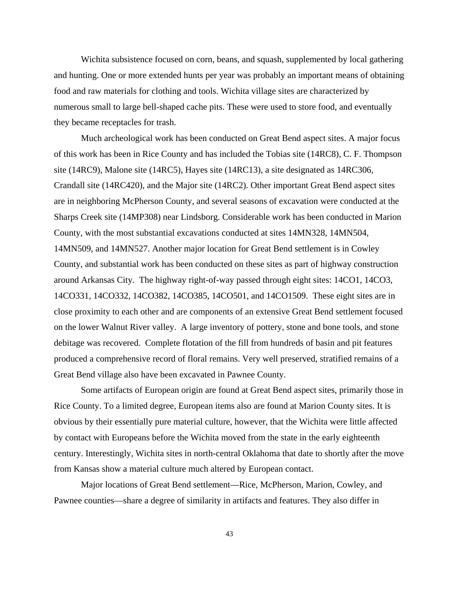Wichita subsistence focused on corn, beans, and squash, supplemented by local gathering and hunting. One or more extended hunts per year was probably an important means of obtaining food and raw materials for clothing and tools. Wichita village sites are characterized by numerous small to large bell-shaped cache pits. These were used to store food, and eventually they became receptacles for trash.

Much archeological work has been conducted on Great Bend aspect sites. A major focus of this work has been in Rice County and has included the Tobias site (14RC8), C. F. Thompson site (14RC9), Malone site (14RC5), Hayes site (14RC13), a site designated as 14RC306, Crandall site (14RC420), and the Major site (14RC2). Other important Great Bend aspect sites are in neighboring McPherson County, and several seasons of excavation were conducted at the Sharps Creek site (14MP308) near Lindsborg. Considerable work has been conducted in Marion County, with the most substantial excavations conducted at sites 14MN328, 14MN504, 14MN509, and 14MN527. Another major location for Great Bend settlement is in Cowley County, and substantial work has been conducted on these sites as part of highway construction around Arkansas City. The highway right-of-way passed through eight sites: 14CO1, 14CO3, 14CO331, 14CO332, 14CO382, 14CO385, 14CO501, and 14CO1509. These eight sites are in close proximity to each other and are components of an extensive Great Bend settlement focused on the lower Walnut River valley. A large inventory of pottery, stone and bone tools, and stone debitage was recovered. Complete flotation of the fill from hundreds of basin and pit features produced a comprehensive record of floral remains. Very well preserved, stratified remains of a Great Bend village also have been excavated in Pawnee County.

Some artifacts of European origin are found at Great Bend aspect sites, primarily those in Rice County. To a limited degree, European items also are found at Marion County sites. It is obvious by their essentially pure material culture, however, that the Wichita were little affected by contact with Europeans before the Wichita moved from the state in the early eighteenth century. Interestingly, Wichita sites in north-central Oklahoma that date to shortly after the move from Kansas show a material culture much altered by European contact.

Major locations of Great Bend settlement—Rice, McPherson, Marion, Cowley, and Pawnee counties—share a degree of similarity in artifacts and features. They also differ in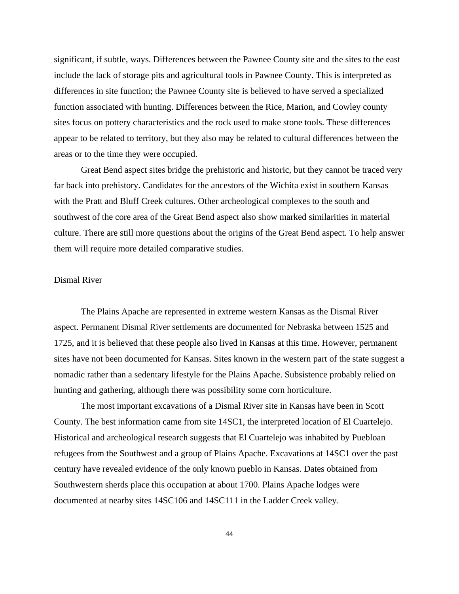significant, if subtle, ways. Differences between the Pawnee County site and the sites to the east include the lack of storage pits and agricultural tools in Pawnee County. This is interpreted as differences in site function; the Pawnee County site is believed to have served a specialized function associated with hunting. Differences between the Rice, Marion, and Cowley county sites focus on pottery characteristics and the rock used to make stone tools. These differences appear to be related to territory, but they also may be related to cultural differences between the areas or to the time they were occupied.

Great Bend aspect sites bridge the prehistoric and historic, but they cannot be traced very far back into prehistory. Candidates for the ancestors of the Wichita exist in southern Kansas with the Pratt and Bluff Creek cultures. Other archeological complexes to the south and southwest of the core area of the Great Bend aspect also show marked similarities in material culture. There are still more questions about the origins of the Great Bend aspect. To help answer them will require more detailed comparative studies.

### Dismal River

The Plains Apache are represented in extreme western Kansas as the Dismal River aspect. Permanent Dismal River settlements are documented for Nebraska between 1525 and 1725, and it is believed that these people also lived in Kansas at this time. However, permanent sites have not been documented for Kansas. Sites known in the western part of the state suggest a nomadic rather than a sedentary lifestyle for the Plains Apache. Subsistence probably relied on hunting and gathering, although there was possibility some corn horticulture.

The most important excavations of a Dismal River site in Kansas have been in Scott County. The best information came from site 14SC1, the interpreted location of El Cuartelejo. Historical and archeological research suggests that El Cuartelejo was inhabited by Puebloan refugees from the Southwest and a group of Plains Apache. Excavations at 14SC1 over the past century have revealed evidence of the only known pueblo in Kansas. Dates obtained from Southwestern sherds place this occupation at about 1700. Plains Apache lodges were documented at nearby sites 14SC106 and 14SC111 in the Ladder Creek valley.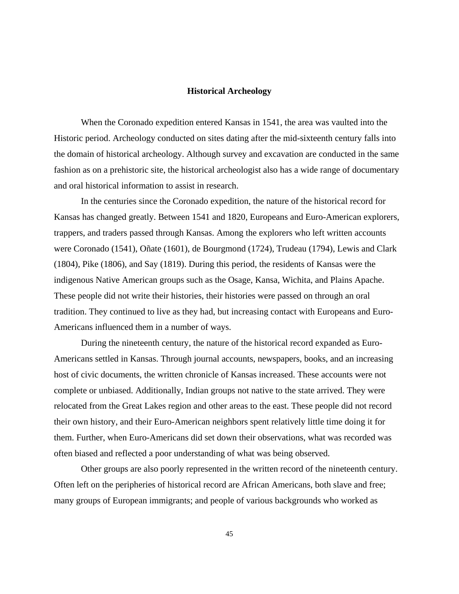#### **Historical Archeology**

When the Coronado expedition entered Kansas in 1541, the area was vaulted into the Historic period. Archeology conducted on sites dating after the mid-sixteenth century falls into the domain of historical archeology. Although survey and excavation are conducted in the same fashion as on a prehistoric site, the historical archeologist also has a wide range of documentary and oral historical information to assist in research.

In the centuries since the Coronado expedition, the nature of the historical record for Kansas has changed greatly. Between 1541 and 1820, Europeans and Euro-American explorers, trappers, and traders passed through Kansas. Among the explorers who left written accounts were Coronado (1541), Oñate (1601), de Bourgmond (1724), Trudeau (1794), Lewis and Clark (1804), Pike (1806), and Say (1819). During this period, the residents of Kansas were the indigenous Native American groups such as the Osage, Kansa, Wichita, and Plains Apache. These people did not write their histories, their histories were passed on through an oral tradition. They continued to live as they had, but increasing contact with Europeans and Euro-Americans influenced them in a number of ways.

During the nineteenth century, the nature of the historical record expanded as Euro-Americans settled in Kansas. Through journal accounts, newspapers, books, and an increasing host of civic documents, the written chronicle of Kansas increased. These accounts were not complete or unbiased. Additionally, Indian groups not native to the state arrived. They were relocated from the Great Lakes region and other areas to the east. These people did not record their own history, and their Euro-American neighbors spent relatively little time doing it for them. Further, when Euro-Americans did set down their observations, what was recorded was often biased and reflected a poor understanding of what was being observed.

Other groups are also poorly represented in the written record of the nineteenth century. Often left on the peripheries of historical record are African Americans, both slave and free; many groups of European immigrants; and people of various backgrounds who worked as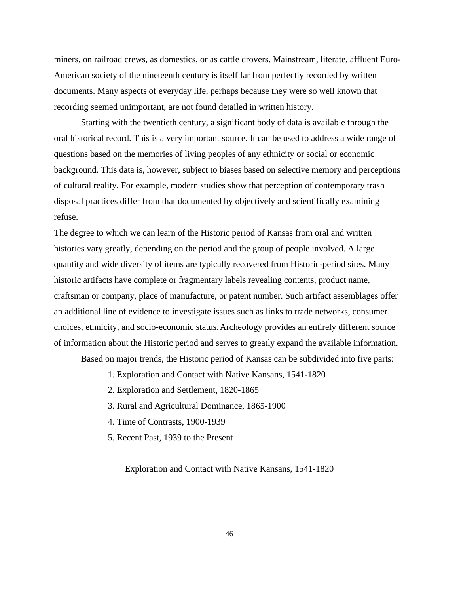miners, on railroad crews, as domestics, or as cattle drovers. Mainstream, literate, affluent Euro-American society of the nineteenth century is itself far from perfectly recorded by written documents. Many aspects of everyday life, perhaps because they were so well known that recording seemed unimportant, are not found detailed in written history.

Starting with the twentieth century, a significant body of data is available through the oral historical record. This is a very important source. It can be used to address a wide range of questions based on the memories of living peoples of any ethnicity or social or economic background. This data is, however, subject to biases based on selective memory and perceptions of cultural reality. For example, modern studies show that perception of contemporary trash disposal practices differ from that documented by objectively and scientifically examining refuse.

The degree to which we can learn of the Historic period of Kansas from oral and written histories vary greatly, depending on the period and the group of people involved. A large quantity and wide diversity of items are typically recovered from Historic-period sites. Many historic artifacts have complete or fragmentary labels revealing contents, product name, craftsman or company, place of manufacture, or patent number. Such artifact assemblages offer an additional line of evidence to investigate issues such as links to trade networks, consumer choices, ethnicity, and socio-economic status. Archeology provides an entirely different source of information about the Historic period and serves to greatly expand the available information.

Based on major trends, the Historic period of Kansas can be subdivided into five parts:

- 1. Exploration and Contact with Native Kansans, 1541-1820
- 2. Exploration and Settlement, 1820-1865
- 3. Rural and Agricultural Dominance, 1865-1900
- 4. Time of Contrasts, 1900-1939
- 5. Recent Past, 1939 to the Present

#### Exploration and Contact with Native Kansans, 1541-1820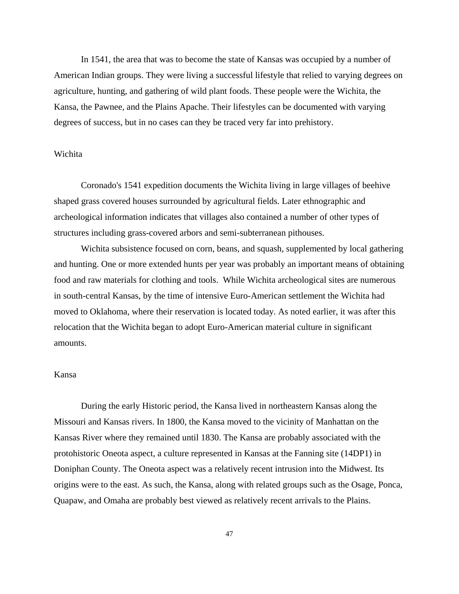In 1541, the area that was to become the state of Kansas was occupied by a number of American Indian groups. They were living a successful lifestyle that relied to varying degrees on agriculture, hunting, and gathering of wild plant foods. These people were the Wichita, the Kansa, the Pawnee, and the Plains Apache. Their lifestyles can be documented with varying degrees of success, but in no cases can they be traced very far into prehistory.

# Wichita

Coronado's 1541 expedition documents the Wichita living in large villages of beehive shaped grass covered houses surrounded by agricultural fields. Later ethnographic and archeological information indicates that villages also contained a number of other types of structures including grass-covered arbors and semi-subterranean pithouses.

Wichita subsistence focused on corn, beans, and squash, supplemented by local gathering and hunting. One or more extended hunts per year was probably an important means of obtaining food and raw materials for clothing and tools. While Wichita archeological sites are numerous in south-central Kansas, by the time of intensive Euro-American settlement the Wichita had moved to Oklahoma, where their reservation is located today. As noted earlier, it was after this relocation that the Wichita began to adopt Euro-American material culture in significant amounts.

#### Kansa

During the early Historic period, the Kansa lived in northeastern Kansas along the Missouri and Kansas rivers. In 1800, the Kansa moved to the vicinity of Manhattan on the Kansas River where they remained until 1830. The Kansa are probably associated with the protohistoric Oneota aspect, a culture represented in Kansas at the Fanning site (14DP1) in Doniphan County. The Oneota aspect was a relatively recent intrusion into the Midwest. Its origins were to the east. As such, the Kansa, along with related groups such as the Osage, Ponca, Quapaw, and Omaha are probably best viewed as relatively recent arrivals to the Plains.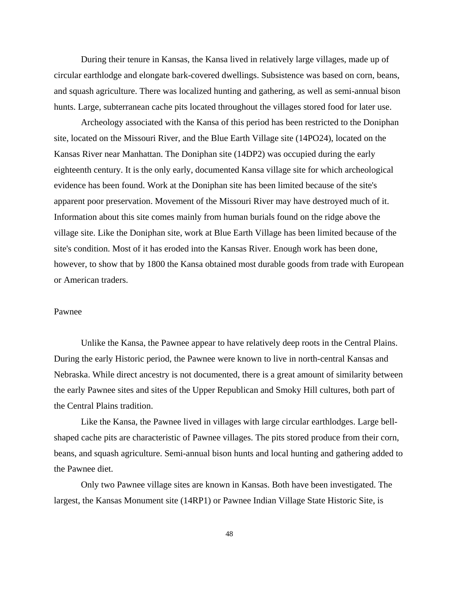During their tenure in Kansas, the Kansa lived in relatively large villages, made up of circular earthlodge and elongate bark-covered dwellings. Subsistence was based on corn, beans, and squash agriculture. There was localized hunting and gathering, as well as semi-annual bison hunts. Large, subterranean cache pits located throughout the villages stored food for later use.

Archeology associated with the Kansa of this period has been restricted to the Doniphan site, located on the Missouri River, and the Blue Earth Village site (14PO24), located on the Kansas River near Manhattan. The Doniphan site (14DP2) was occupied during the early eighteenth century. It is the only early, documented Kansa village site for which archeological evidence has been found. Work at the Doniphan site has been limited because of the site's apparent poor preservation. Movement of the Missouri River may have destroyed much of it. Information about this site comes mainly from human burials found on the ridge above the village site. Like the Doniphan site, work at Blue Earth Village has been limited because of the site's condition. Most of it has eroded into the Kansas River. Enough work has been done, however, to show that by 1800 the Kansa obtained most durable goods from trade with European or American traders.

### Pawnee

Unlike the Kansa, the Pawnee appear to have relatively deep roots in the Central Plains. During the early Historic period, the Pawnee were known to live in north-central Kansas and Nebraska. While direct ancestry is not documented, there is a great amount of similarity between the early Pawnee sites and sites of the Upper Republican and Smoky Hill cultures, both part of the Central Plains tradition.

Like the Kansa, the Pawnee lived in villages with large circular earthlodges. Large bellshaped cache pits are characteristic of Pawnee villages. The pits stored produce from their corn, beans, and squash agriculture. Semi-annual bison hunts and local hunting and gathering added to the Pawnee diet.

Only two Pawnee village sites are known in Kansas. Both have been investigated. The largest, the Kansas Monument site (14RP1) or Pawnee Indian Village State Historic Site, is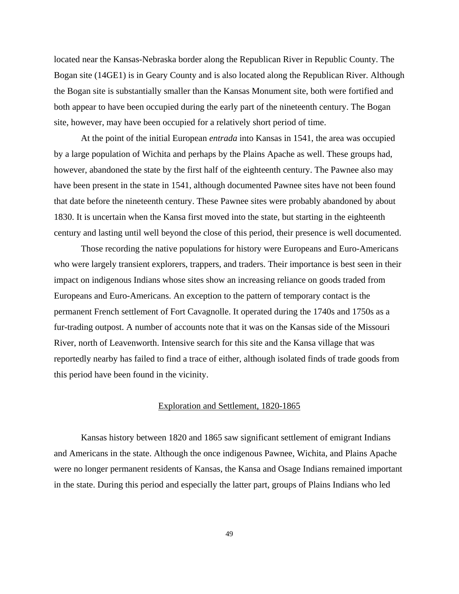located near the Kansas-Nebraska border along the Republican River in Republic County. The Bogan site (14GE1) is in Geary County and is also located along the Republican River. Although the Bogan site is substantially smaller than the Kansas Monument site, both were fortified and both appear to have been occupied during the early part of the nineteenth century. The Bogan site, however, may have been occupied for a relatively short period of time.

At the point of the initial European *entrada* into Kansas in 1541, the area was occupied by a large population of Wichita and perhaps by the Plains Apache as well. These groups had, however, abandoned the state by the first half of the eighteenth century. The Pawnee also may have been present in the state in 1541, although documented Pawnee sites have not been found that date before the nineteenth century. These Pawnee sites were probably abandoned by about 1830. It is uncertain when the Kansa first moved into the state, but starting in the eighteenth century and lasting until well beyond the close of this period, their presence is well documented.

Those recording the native populations for history were Europeans and Euro-Americans who were largely transient explorers, trappers, and traders. Their importance is best seen in their impact on indigenous Indians whose sites show an increasing reliance on goods traded from Europeans and Euro-Americans. An exception to the pattern of temporary contact is the permanent French settlement of Fort Cavagnolle. It operated during the 1740s and 1750s as a fur-trading outpost. A number of accounts note that it was on the Kansas side of the Missouri River, north of Leavenworth. Intensive search for this site and the Kansa village that was reportedly nearby has failed to find a trace of either, although isolated finds of trade goods from this period have been found in the vicinity.

#### Exploration and Settlement, 1820-1865

Kansas history between 1820 and 1865 saw significant settlement of emigrant Indians and Americans in the state. Although the once indigenous Pawnee, Wichita, and Plains Apache were no longer permanent residents of Kansas, the Kansa and Osage Indians remained important in the state. During this period and especially the latter part, groups of Plains Indians who led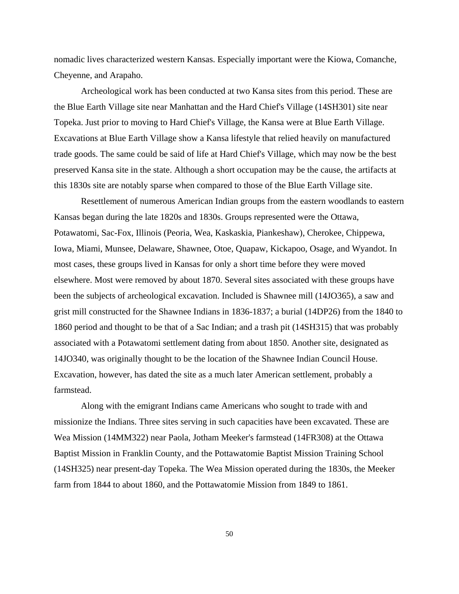nomadic lives characterized western Kansas. Especially important were the Kiowa, Comanche, Cheyenne, and Arapaho.

Archeological work has been conducted at two Kansa sites from this period. These are the Blue Earth Village site near Manhattan and the Hard Chief's Village (14SH301) site near Topeka. Just prior to moving to Hard Chief's Village, the Kansa were at Blue Earth Village. Excavations at Blue Earth Village show a Kansa lifestyle that relied heavily on manufactured trade goods. The same could be said of life at Hard Chief's Village, which may now be the best preserved Kansa site in the state. Although a short occupation may be the cause, the artifacts at this 1830s site are notably sparse when compared to those of the Blue Earth Village site.

Resettlement of numerous American Indian groups from the eastern woodlands to eastern Kansas began during the late 1820s and 1830s. Groups represented were the Ottawa, Potawatomi, Sac-Fox, Illinois (Peoria, Wea, Kaskaskia, Piankeshaw), Cherokee, Chippewa, Iowa, Miami, Munsee, Delaware, Shawnee, Otoe, Quapaw, Kickapoo, Osage, and Wyandot. In most cases, these groups lived in Kansas for only a short time before they were moved elsewhere. Most were removed by about 1870. Several sites associated with these groups have been the subjects of archeological excavation. Included is Shawnee mill (14JO365), a saw and grist mill constructed for the Shawnee Indians in 1836-1837; a burial (14DP26) from the 1840 to 1860 period and thought to be that of a Sac Indian; and a trash pit (14SH315) that was probably associated with a Potawatomi settlement dating from about 1850. Another site, designated as 14JO340, was originally thought to be the location of the Shawnee Indian Council House. Excavation, however, has dated the site as a much later American settlement, probably a farmstead.

Along with the emigrant Indians came Americans who sought to trade with and missionize the Indians. Three sites serving in such capacities have been excavated. These are Wea Mission (14MM322) near Paola, Jotham Meeker's farmstead (14FR308) at the Ottawa Baptist Mission in Franklin County, and the Pottawatomie Baptist Mission Training School (14SH325) near present-day Topeka. The Wea Mission operated during the 1830s, the Meeker farm from 1844 to about 1860, and the Pottawatomie Mission from 1849 to 1861.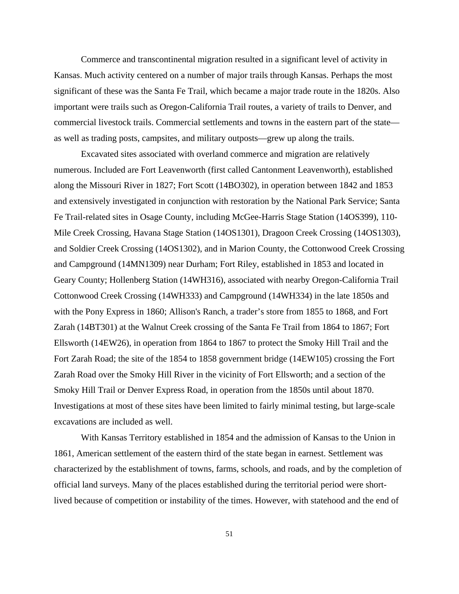Commerce and transcontinental migration resulted in a significant level of activity in Kansas. Much activity centered on a number of major trails through Kansas. Perhaps the most significant of these was the Santa Fe Trail, which became a major trade route in the 1820s. Also important were trails such as Oregon-California Trail routes, a variety of trails to Denver, and commercial livestock trails. Commercial settlements and towns in the eastern part of the state as well as trading posts, campsites, and military outposts—grew up along the trails.

Excavated sites associated with overland commerce and migration are relatively numerous. Included are Fort Leavenworth (first called Cantonment Leavenworth), established along the Missouri River in 1827; Fort Scott (14BO302), in operation between 1842 and 1853 and extensively investigated in conjunction with restoration by the National Park Service; Santa Fe Trail-related sites in Osage County, including McGee-Harris Stage Station (14OS399), 110- Mile Creek Crossing, Havana Stage Station (14OS1301), Dragoon Creek Crossing (14OS1303), and Soldier Creek Crossing (14OS1302), and in Marion County, the Cottonwood Creek Crossing and Campground (14MN1309) near Durham; Fort Riley, established in 1853 and located in Geary County; Hollenberg Station (14WH316), associated with nearby Oregon-California Trail Cottonwood Creek Crossing (14WH333) and Campground (14WH334) in the late 1850s and with the Pony Express in 1860; Allison's Ranch, a trader's store from 1855 to 1868, and Fort Zarah (14BT301) at the Walnut Creek crossing of the Santa Fe Trail from 1864 to 1867; Fort Ellsworth (14EW26), in operation from 1864 to 1867 to protect the Smoky Hill Trail and the Fort Zarah Road; the site of the 1854 to 1858 government bridge (14EW105) crossing the Fort Zarah Road over the Smoky Hill River in the vicinity of Fort Ellsworth; and a section of the Smoky Hill Trail or Denver Express Road, in operation from the 1850s until about 1870. Investigations at most of these sites have been limited to fairly minimal testing, but large-scale excavations are included as well.

With Kansas Territory established in 1854 and the admission of Kansas to the Union in 1861, American settlement of the eastern third of the state began in earnest. Settlement was characterized by the establishment of towns, farms, schools, and roads, and by the completion of official land surveys. Many of the places established during the territorial period were shortlived because of competition or instability of the times. However, with statehood and the end of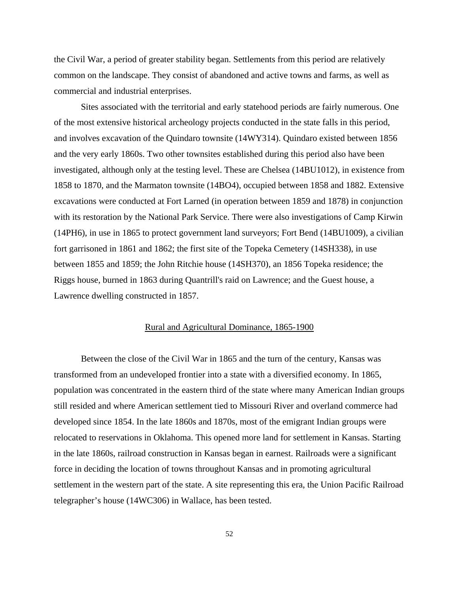the Civil War, a period of greater stability began. Settlements from this period are relatively common on the landscape. They consist of abandoned and active towns and farms, as well as commercial and industrial enterprises.

Sites associated with the territorial and early statehood periods are fairly numerous. One of the most extensive historical archeology projects conducted in the state falls in this period, and involves excavation of the Quindaro townsite (14WY314). Quindaro existed between 1856 and the very early 1860s. Two other townsites established during this period also have been investigated, although only at the testing level. These are Chelsea (14BU1012), in existence from 1858 to 1870, and the Marmaton townsite (14BO4), occupied between 1858 and 1882. Extensive excavations were conducted at Fort Larned (in operation between 1859 and 1878) in conjunction with its restoration by the National Park Service. There were also investigations of Camp Kirwin (14PH6), in use in 1865 to protect government land surveyors; Fort Bend (14BU1009), a civilian fort garrisoned in 1861 and 1862; the first site of the Topeka Cemetery (14SH338), in use between 1855 and 1859; the John Ritchie house (14SH370), an 1856 Topeka residence; the Riggs house, burned in 1863 during Quantrill's raid on Lawrence; and the Guest house, a Lawrence dwelling constructed in 1857.

### Rural and Agricultural Dominance, 1865-1900

Between the close of the Civil War in 1865 and the turn of the century, Kansas was transformed from an undeveloped frontier into a state with a diversified economy. In 1865, population was concentrated in the eastern third of the state where many American Indian groups still resided and where American settlement tied to Missouri River and overland commerce had developed since 1854. In the late 1860s and 1870s, most of the emigrant Indian groups were relocated to reservations in Oklahoma. This opened more land for settlement in Kansas. Starting in the late 1860s, railroad construction in Kansas began in earnest. Railroads were a significant force in deciding the location of towns throughout Kansas and in promoting agricultural settlement in the western part of the state. A site representing this era, the Union Pacific Railroad telegrapher's house (14WC306) in Wallace, has been tested.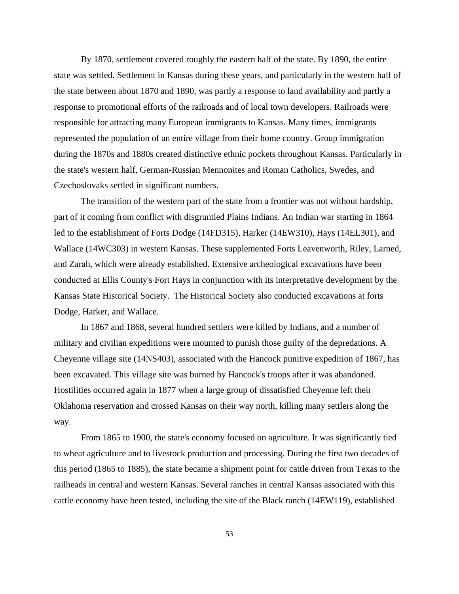By 1870, settlement covered roughly the eastern half of the state. By 1890, the entire state was settled. Settlement in Kansas during these years, and particularly in the western half of the state between about 1870 and 1890, was partly a response to land availability and partly a response to promotional efforts of the railroads and of local town developers. Railroads were responsible for attracting many European immigrants to Kansas. Many times, immigrants represented the population of an entire village from their home country. Group immigration during the 1870s and 1880s created distinctive ethnic pockets throughout Kansas. Particularly in the state's western half, German-Russian Mennonites and Roman Catholics, Swedes, and Czechoslovaks settled in significant numbers.

The transition of the western part of the state from a frontier was not without hardship, part of it coming from conflict with disgruntled Plains Indians. An Indian war starting in 1864 led to the establishment of Forts Dodge (14FD315), Harker (14EW310), Hays (14EL301), and Wallace (14WC303) in western Kansas. These supplemented Forts Leavenworth, Riley, Larned, and Zarah, which were already established. Extensive archeological excavations have been conducted at Ellis County's Fort Hays in conjunction with its interpretative development by the Kansas State Historical Society. The Historical Society also conducted excavations at forts Dodge, Harker, and Wallace.

In 1867 and 1868, several hundred settlers were killed by Indians, and a number of military and civilian expeditions were mounted to punish those guilty of the depredations. A Cheyenne village site (14NS403), associated with the Hancock punitive expedition of 1867, has been excavated. This village site was burned by Hancock's troops after it was abandoned. Hostilities occurred again in 1877 when a large group of dissatisfied Cheyenne left their Oklahoma reservation and crossed Kansas on their way north, killing many settlers along the way.

From 1865 to 1900, the state's economy focused on agriculture. It was significantly tied to wheat agriculture and to livestock production and processing. During the first two decades of this period (1865 to 1885), the state became a shipment point for cattle driven from Texas to the railheads in central and western Kansas. Several ranches in central Kansas associated with this cattle economy have been tested, including the site of the Black ranch (14EW119), established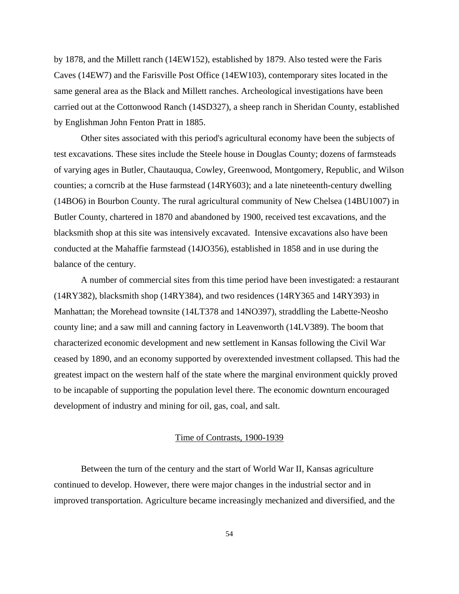by 1878, and the Millett ranch (14EW152), established by 1879. Also tested were the Faris Caves (14EW7) and the Farisville Post Office (14EW103), contemporary sites located in the same general area as the Black and Millett ranches. Archeological investigations have been carried out at the Cottonwood Ranch (14SD327), a sheep ranch in Sheridan County, established by Englishman John Fenton Pratt in 1885.

Other sites associated with this period's agricultural economy have been the subjects of test excavations. These sites include the Steele house in Douglas County; dozens of farmsteads of varying ages in Butler, Chautauqua, Cowley, Greenwood, Montgomery, Republic, and Wilson counties; a corncrib at the Huse farmstead (14RY603); and a late nineteenth-century dwelling (14BO6) in Bourbon County. The rural agricultural community of New Chelsea (14BU1007) in Butler County, chartered in 1870 and abandoned by 1900, received test excavations, and the blacksmith shop at this site was intensively excavated. Intensive excavations also have been conducted at the Mahaffie farmstead (14JO356), established in 1858 and in use during the balance of the century.

A number of commercial sites from this time period have been investigated: a restaurant (14RY382), blacksmith shop (14RY384), and two residences (14RY365 and 14RY393) in Manhattan; the Morehead townsite (14LT378 and 14NO397), straddling the Labette-Neosho county line; and a saw mill and canning factory in Leavenworth (14LV389). The boom that characterized economic development and new settlement in Kansas following the Civil War ceased by 1890, and an economy supported by overextended investment collapsed. This had the greatest impact on the western half of the state where the marginal environment quickly proved to be incapable of supporting the population level there. The economic downturn encouraged development of industry and mining for oil, gas, coal, and salt.

### Time of Contrasts, 1900-1939

Between the turn of the century and the start of World War II, Kansas agriculture continued to develop. However, there were major changes in the industrial sector and in improved transportation. Agriculture became increasingly mechanized and diversified, and the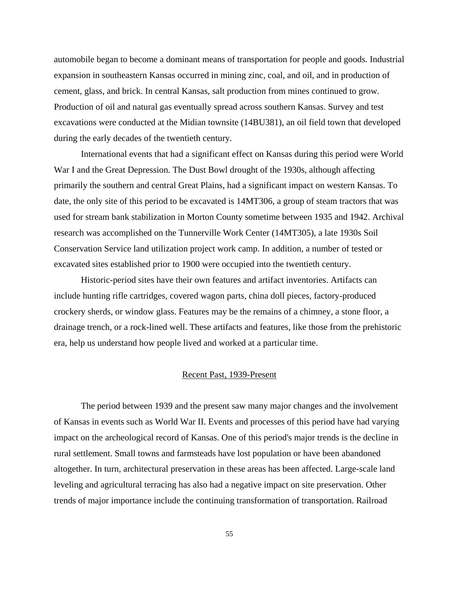automobile began to become a dominant means of transportation for people and goods. Industrial expansion in southeastern Kansas occurred in mining zinc, coal, and oil, and in production of cement, glass, and brick. In central Kansas, salt production from mines continued to grow. Production of oil and natural gas eventually spread across southern Kansas. Survey and test excavations were conducted at the Midian townsite (14BU381), an oil field town that developed during the early decades of the twentieth century.

International events that had a significant effect on Kansas during this period were World War I and the Great Depression. The Dust Bowl drought of the 1930s, although affecting primarily the southern and central Great Plains, had a significant impact on western Kansas. To date, the only site of this period to be excavated is 14MT306, a group of steam tractors that was used for stream bank stabilization in Morton County sometime between 1935 and 1942. Archival research was accomplished on the Tunnerville Work Center (14MT305), a late 1930s Soil Conservation Service land utilization project work camp. In addition, a number of tested or excavated sites established prior to 1900 were occupied into the twentieth century.

Historic-period sites have their own features and artifact inventories. Artifacts can include hunting rifle cartridges, covered wagon parts, china doll pieces, factory-produced crockery sherds, or window glass. Features may be the remains of a chimney, a stone floor, a drainage trench, or a rock-lined well. These artifacts and features, like those from the prehistoric era, help us understand how people lived and worked at a particular time.

#### Recent Past, 1939-Present

The period between 1939 and the present saw many major changes and the involvement of Kansas in events such as World War II. Events and processes of this period have had varying impact on the archeological record of Kansas. One of this period's major trends is the decline in rural settlement. Small towns and farmsteads have lost population or have been abandoned altogether. In turn, architectural preservation in these areas has been affected. Large-scale land leveling and agricultural terracing has also had a negative impact on site preservation. Other trends of major importance include the continuing transformation of transportation. Railroad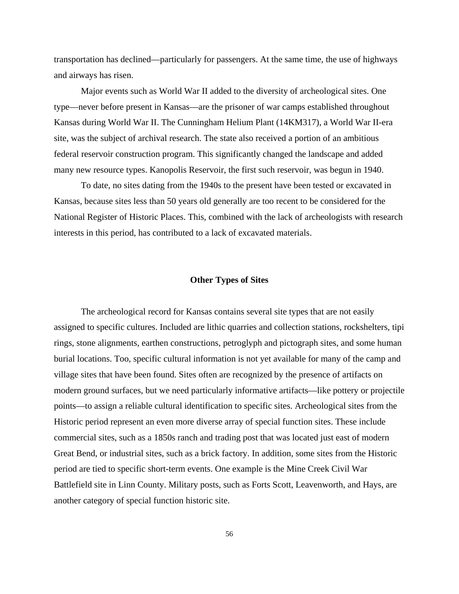transportation has declined—particularly for passengers. At the same time, the use of highways and airways has risen.

Major events such as World War II added to the diversity of archeological sites. One type—never before present in Kansas—are the prisoner of war camps established throughout Kansas during World War II. The Cunningham Helium Plant (14KM317), a World War II-era site, was the subject of archival research. The state also received a portion of an ambitious federal reservoir construction program. This significantly changed the landscape and added many new resource types. Kanopolis Reservoir, the first such reservoir, was begun in 1940.

To date, no sites dating from the 1940s to the present have been tested or excavated in Kansas, because sites less than 50 years old generally are too recent to be considered for the National Register of Historic Places. This, combined with the lack of archeologists with research interests in this period, has contributed to a lack of excavated materials.

### **Other Types of Sites**

The archeological record for Kansas contains several site types that are not easily assigned to specific cultures. Included are lithic quarries and collection stations, rockshelters, tipi rings, stone alignments, earthen constructions, petroglyph and pictograph sites, and some human burial locations. Too, specific cultural information is not yet available for many of the camp and village sites that have been found. Sites often are recognized by the presence of artifacts on modern ground surfaces, but we need particularly informative artifacts—like pottery or projectile points—to assign a reliable cultural identification to specific sites. Archeological sites from the Historic period represent an even more diverse array of special function sites. These include commercial sites, such as a 1850s ranch and trading post that was located just east of modern Great Bend, or industrial sites, such as a brick factory. In addition, some sites from the Historic period are tied to specific short-term events. One example is the Mine Creek Civil War Battlefield site in Linn County. Military posts, such as Forts Scott, Leavenworth, and Hays, are another category of special function historic site.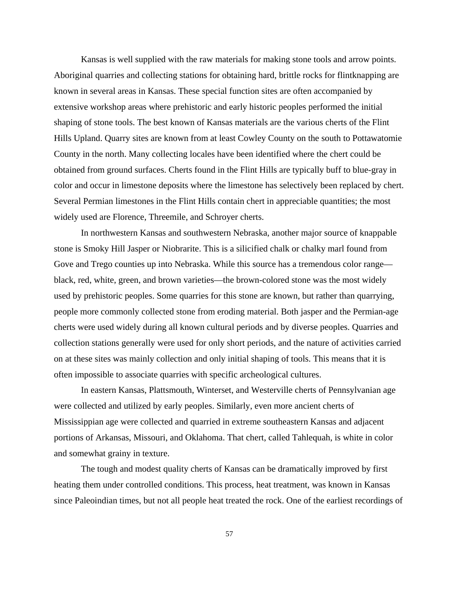Kansas is well supplied with the raw materials for making stone tools and arrow points. Aboriginal quarries and collecting stations for obtaining hard, brittle rocks for flintknapping are known in several areas in Kansas. These special function sites are often accompanied by extensive workshop areas where prehistoric and early historic peoples performed the initial shaping of stone tools. The best known of Kansas materials are the various cherts of the Flint Hills Upland. Quarry sites are known from at least Cowley County on the south to Pottawatomie County in the north. Many collecting locales have been identified where the chert could be obtained from ground surfaces. Cherts found in the Flint Hills are typically buff to blue-gray in color and occur in limestone deposits where the limestone has selectively been replaced by chert. Several Permian limestones in the Flint Hills contain chert in appreciable quantities; the most widely used are Florence, Threemile, and Schroyer cherts.

In northwestern Kansas and southwestern Nebraska, another major source of knappable stone is Smoky Hill Jasper or Niobrarite. This is a silicified chalk or chalky marl found from Gove and Trego counties up into Nebraska. While this source has a tremendous color range black, red, white, green, and brown varieties—the brown-colored stone was the most widely used by prehistoric peoples. Some quarries for this stone are known, but rather than quarrying, people more commonly collected stone from eroding material. Both jasper and the Permian-age cherts were used widely during all known cultural periods and by diverse peoples. Quarries and collection stations generally were used for only short periods, and the nature of activities carried on at these sites was mainly collection and only initial shaping of tools. This means that it is often impossible to associate quarries with specific archeological cultures.

In eastern Kansas, Plattsmouth, Winterset, and Westerville cherts of Pennsylvanian age were collected and utilized by early peoples. Similarly, even more ancient cherts of Mississippian age were collected and quarried in extreme southeastern Kansas and adjacent portions of Arkansas, Missouri, and Oklahoma. That chert, called Tahlequah, is white in color and somewhat grainy in texture.

The tough and modest quality cherts of Kansas can be dramatically improved by first heating them under controlled conditions. This process, heat treatment, was known in Kansas since Paleoindian times, but not all people heat treated the rock. One of the earliest recordings of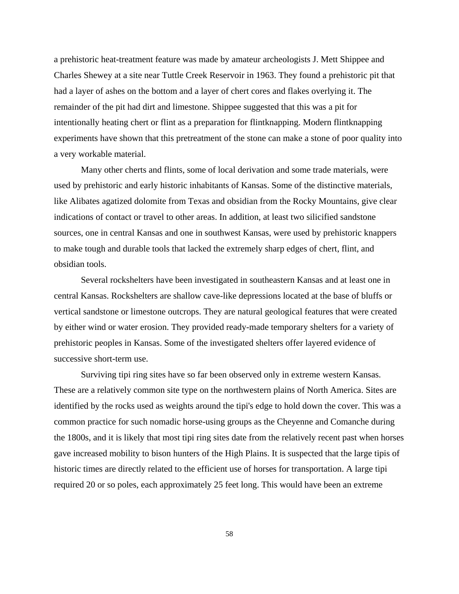a prehistoric heat-treatment feature was made by amateur archeologists J. Mett Shippee and Charles Shewey at a site near Tuttle Creek Reservoir in 1963. They found a prehistoric pit that had a layer of ashes on the bottom and a layer of chert cores and flakes overlying it. The remainder of the pit had dirt and limestone. Shippee suggested that this was a pit for intentionally heating chert or flint as a preparation for flintknapping. Modern flintknapping experiments have shown that this pretreatment of the stone can make a stone of poor quality into a very workable material.

Many other cherts and flints, some of local derivation and some trade materials, were used by prehistoric and early historic inhabitants of Kansas. Some of the distinctive materials, like Alibates agatized dolomite from Texas and obsidian from the Rocky Mountains, give clear indications of contact or travel to other areas. In addition, at least two silicified sandstone sources, one in central Kansas and one in southwest Kansas, were used by prehistoric knappers to make tough and durable tools that lacked the extremely sharp edges of chert, flint, and obsidian tools.

Several rockshelters have been investigated in southeastern Kansas and at least one in central Kansas. Rockshelters are shallow cave-like depressions located at the base of bluffs or vertical sandstone or limestone outcrops. They are natural geological features that were created by either wind or water erosion. They provided ready-made temporary shelters for a variety of prehistoric peoples in Kansas. Some of the investigated shelters offer layered evidence of successive short-term use.

Surviving tipi ring sites have so far been observed only in extreme western Kansas. These are a relatively common site type on the northwestern plains of North America. Sites are identified by the rocks used as weights around the tipi's edge to hold down the cover. This was a common practice for such nomadic horse-using groups as the Cheyenne and Comanche during the 1800s, and it is likely that most tipi ring sites date from the relatively recent past when horses gave increased mobility to bison hunters of the High Plains. It is suspected that the large tipis of historic times are directly related to the efficient use of horses for transportation. A large tipi required 20 or so poles, each approximately 25 feet long. This would have been an extreme

58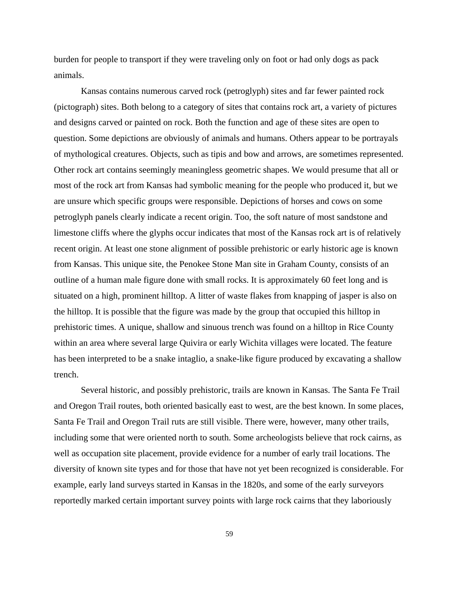burden for people to transport if they were traveling only on foot or had only dogs as pack animals.

Kansas contains numerous carved rock (petroglyph) sites and far fewer painted rock (pictograph) sites. Both belong to a category of sites that contains rock art, a variety of pictures and designs carved or painted on rock. Both the function and age of these sites are open to question. Some depictions are obviously of animals and humans. Others appear to be portrayals of mythological creatures. Objects, such as tipis and bow and arrows, are sometimes represented. Other rock art contains seemingly meaningless geometric shapes. We would presume that all or most of the rock art from Kansas had symbolic meaning for the people who produced it, but we are unsure which specific groups were responsible. Depictions of horses and cows on some petroglyph panels clearly indicate a recent origin. Too, the soft nature of most sandstone and limestone cliffs where the glyphs occur indicates that most of the Kansas rock art is of relatively recent origin. At least one stone alignment of possible prehistoric or early historic age is known from Kansas. This unique site, the Penokee Stone Man site in Graham County, consists of an outline of a human male figure done with small rocks. It is approximately 60 feet long and is situated on a high, prominent hilltop. A litter of waste flakes from knapping of jasper is also on the hilltop. It is possible that the figure was made by the group that occupied this hilltop in prehistoric times. A unique, shallow and sinuous trench was found on a hilltop in Rice County within an area where several large Quivira or early Wichita villages were located. The feature has been interpreted to be a snake intaglio, a snake-like figure produced by excavating a shallow trench.

Several historic, and possibly prehistoric, trails are known in Kansas. The Santa Fe Trail and Oregon Trail routes, both oriented basically east to west, are the best known. In some places, Santa Fe Trail and Oregon Trail ruts are still visible. There were, however, many other trails, including some that were oriented north to south. Some archeologists believe that rock cairns, as well as occupation site placement, provide evidence for a number of early trail locations. The diversity of known site types and for those that have not yet been recognized is considerable. For example, early land surveys started in Kansas in the 1820s, and some of the early surveyors reportedly marked certain important survey points with large rock cairns that they laboriously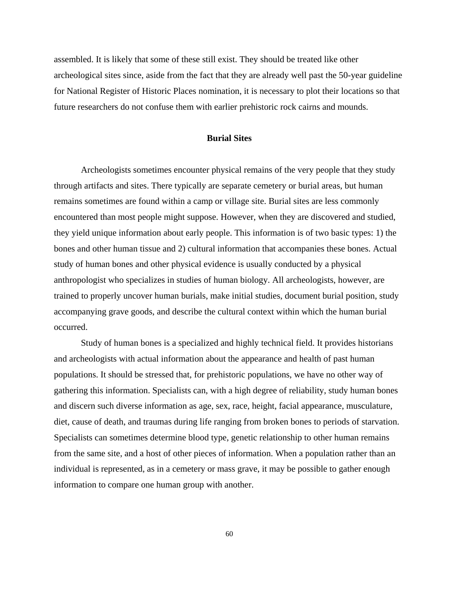assembled. It is likely that some of these still exist. They should be treated like other archeological sites since, aside from the fact that they are already well past the 50-year guideline for National Register of Historic Places nomination, it is necessary to plot their locations so that future researchers do not confuse them with earlier prehistoric rock cairns and mounds.

### **Burial Sites**

Archeologists sometimes encounter physical remains of the very people that they study through artifacts and sites. There typically are separate cemetery or burial areas, but human remains sometimes are found within a camp or village site. Burial sites are less commonly encountered than most people might suppose. However, when they are discovered and studied, they yield unique information about early people. This information is of two basic types: 1) the bones and other human tissue and 2) cultural information that accompanies these bones. Actual study of human bones and other physical evidence is usually conducted by a physical anthropologist who specializes in studies of human biology. All archeologists, however, are trained to properly uncover human burials, make initial studies, document burial position, study accompanying grave goods, and describe the cultural context within which the human burial occurred.

Study of human bones is a specialized and highly technical field. It provides historians and archeologists with actual information about the appearance and health of past human populations. It should be stressed that, for prehistoric populations, we have no other way of gathering this information. Specialists can, with a high degree of reliability, study human bones and discern such diverse information as age, sex, race, height, facial appearance, musculature, diet, cause of death, and traumas during life ranging from broken bones to periods of starvation. Specialists can sometimes determine blood type, genetic relationship to other human remains from the same site, and a host of other pieces of information. When a population rather than an individual is represented, as in a cemetery or mass grave, it may be possible to gather enough information to compare one human group with another.

60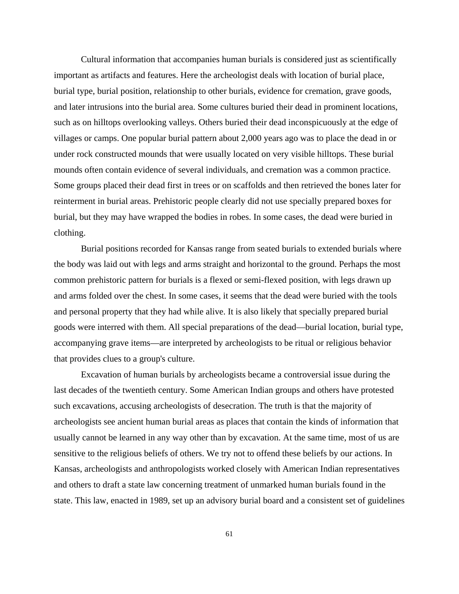Cultural information that accompanies human burials is considered just as scientifically important as artifacts and features. Here the archeologist deals with location of burial place, burial type, burial position, relationship to other burials, evidence for cremation, grave goods, and later intrusions into the burial area. Some cultures buried their dead in prominent locations, such as on hilltops overlooking valleys. Others buried their dead inconspicuously at the edge of villages or camps. One popular burial pattern about 2,000 years ago was to place the dead in or under rock constructed mounds that were usually located on very visible hilltops. These burial mounds often contain evidence of several individuals, and cremation was a common practice. Some groups placed their dead first in trees or on scaffolds and then retrieved the bones later for reinterment in burial areas. Prehistoric people clearly did not use specially prepared boxes for burial, but they may have wrapped the bodies in robes. In some cases, the dead were buried in clothing.

Burial positions recorded for Kansas range from seated burials to extended burials where the body was laid out with legs and arms straight and horizontal to the ground. Perhaps the most common prehistoric pattern for burials is a flexed or semi-flexed position, with legs drawn up and arms folded over the chest. In some cases, it seems that the dead were buried with the tools and personal property that they had while alive. It is also likely that specially prepared burial goods were interred with them. All special preparations of the dead—burial location, burial type, accompanying grave items—are interpreted by archeologists to be ritual or religious behavior that provides clues to a group's culture.

Excavation of human burials by archeologists became a controversial issue during the last decades of the twentieth century. Some American Indian groups and others have protested such excavations, accusing archeologists of desecration. The truth is that the majority of archeologists see ancient human burial areas as places that contain the kinds of information that usually cannot be learned in any way other than by excavation. At the same time, most of us are sensitive to the religious beliefs of others. We try not to offend these beliefs by our actions. In Kansas, archeologists and anthropologists worked closely with American Indian representatives and others to draft a state law concerning treatment of unmarked human burials found in the state. This law, enacted in 1989, set up an advisory burial board and a consistent set of guidelines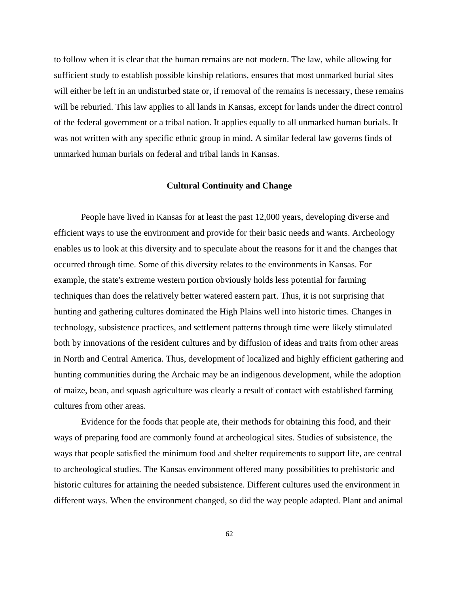to follow when it is clear that the human remains are not modern. The law, while allowing for sufficient study to establish possible kinship relations, ensures that most unmarked burial sites will either be left in an undisturbed state or, if removal of the remains is necessary, these remains will be reburied. This law applies to all lands in Kansas, except for lands under the direct control of the federal government or a tribal nation. It applies equally to all unmarked human burials. It was not written with any specific ethnic group in mind. A similar federal law governs finds of unmarked human burials on federal and tribal lands in Kansas.

### **Cultural Continuity and Change**

People have lived in Kansas for at least the past 12,000 years, developing diverse and efficient ways to use the environment and provide for their basic needs and wants. Archeology enables us to look at this diversity and to speculate about the reasons for it and the changes that occurred through time. Some of this diversity relates to the environments in Kansas. For example, the state's extreme western portion obviously holds less potential for farming techniques than does the relatively better watered eastern part. Thus, it is not surprising that hunting and gathering cultures dominated the High Plains well into historic times. Changes in technology, subsistence practices, and settlement patterns through time were likely stimulated both by innovations of the resident cultures and by diffusion of ideas and traits from other areas in North and Central America. Thus, development of localized and highly efficient gathering and hunting communities during the Archaic may be an indigenous development, while the adoption of maize, bean, and squash agriculture was clearly a result of contact with established farming cultures from other areas.

Evidence for the foods that people ate, their methods for obtaining this food, and their ways of preparing food are commonly found at archeological sites. Studies of subsistence, the ways that people satisfied the minimum food and shelter requirements to support life, are central to archeological studies. The Kansas environment offered many possibilities to prehistoric and historic cultures for attaining the needed subsistence. Different cultures used the environment in different ways. When the environment changed, so did the way people adapted. Plant and animal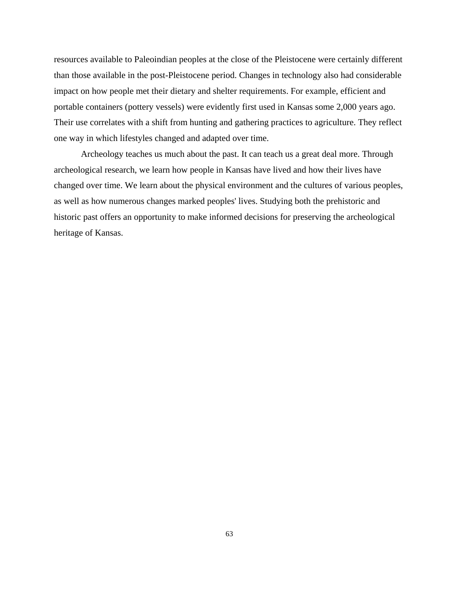resources available to Paleoindian peoples at the close of the Pleistocene were certainly different than those available in the post-Pleistocene period. Changes in technology also had considerable impact on how people met their dietary and shelter requirements. For example, efficient and portable containers (pottery vessels) were evidently first used in Kansas some 2,000 years ago. Their use correlates with a shift from hunting and gathering practices to agriculture. They reflect one way in which lifestyles changed and adapted over time.

Archeology teaches us much about the past. It can teach us a great deal more. Through archeological research, we learn how people in Kansas have lived and how their lives have changed over time. We learn about the physical environment and the cultures of various peoples, as well as how numerous changes marked peoples' lives. Studying both the prehistoric and historic past offers an opportunity to make informed decisions for preserving the archeological heritage of Kansas.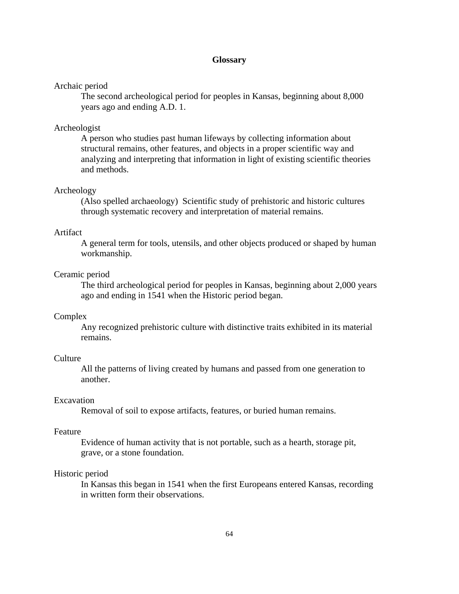### **Glossary**

#### Archaic period

The second archeological period for peoples in Kansas, beginning about 8,000 years ago and ending A.D. 1.

### Archeologist

A person who studies past human lifeways by collecting information about structural remains, other features, and objects in a proper scientific way and analyzing and interpreting that information in light of existing scientific theories and methods.

### Archeology

(Also spelled archaeology) Scientific study of prehistoric and historic cultures through systematic recovery and interpretation of material remains.

### Artifact

A general term for tools, utensils, and other objects produced or shaped by human workmanship.

### Ceramic period

The third archeological period for peoples in Kansas, beginning about 2,000 years ago and ending in 1541 when the Historic period began.

#### Complex

Any recognized prehistoric culture with distinctive traits exhibited in its material remains.

#### **Culture**

All the patterns of living created by humans and passed from one generation to another.

# Excavation

Removal of soil to expose artifacts, features, or buried human remains.

#### Feature

Evidence of human activity that is not portable, such as a hearth, storage pit, grave, or a stone foundation.

#### Historic period

In Kansas this began in 1541 when the first Europeans entered Kansas, recording in written form their observations.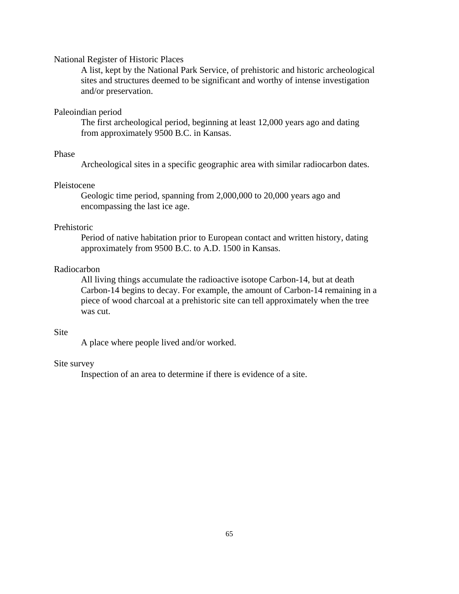### National Register of Historic Places

A list, kept by the National Park Service, of prehistoric and historic archeological sites and structures deemed to be significant and worthy of intense investigation and/or preservation.

#### Paleoindian period

The first archeological period, beginning at least 12,000 years ago and dating from approximately 9500 B.C. in Kansas.

# Phase

Archeological sites in a specific geographic area with similar radiocarbon dates.

#### Pleistocene

Geologic time period, spanning from 2,000,000 to 20,000 years ago and encompassing the last ice age.

# Prehistoric

Period of native habitation prior to European contact and written history, dating approximately from 9500 B.C. to A.D. 1500 in Kansas.

# Radiocarbon

All living things accumulate the radioactive isotope Carbon-14, but at death Carbon-14 begins to decay. For example, the amount of Carbon-14 remaining in a piece of wood charcoal at a prehistoric site can tell approximately when the tree was cut.

#### Site

A place where people lived and/or worked.

### Site survey

Inspection of an area to determine if there is evidence of a site.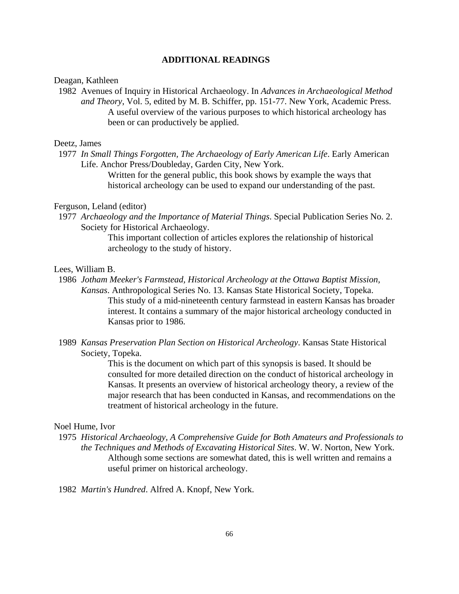### **ADDITIONAL READINGS**

#### Deagan, Kathleen

 1982 Avenues of Inquiry in Historical Archaeology. In *Advances in Archaeological Method and Theory*, Vol. 5, edited by M. B. Schiffer, pp. 151-77. New York, Academic Press. A useful overview of the various purposes to which historical archeology has been or can productively be applied.

#### Deetz, James

 1977 *In Small Things Forgotten, The Archaeology of Early American Life*. Early American Life. Anchor Press/Doubleday, Garden City, New York.

> Written for the general public, this book shows by example the ways that historical archeology can be used to expand our understanding of the past.

# Ferguson, Leland (editor)

 1977 *Archaeology and the Importance of Material Things*. Special Publication Series No. 2. Society for Historical Archaeology.

> This important collection of articles explores the relationship of historical archeology to the study of history.

### Lees, William B.

- 1986 *Jotham Meeker's Farmstead, Historical Archeology at the Ottawa Baptist Mission, Kansas*. Anthropological Series No. 13. Kansas State Historical Society, Topeka. This study of a mid-nineteenth century farmstead in eastern Kansas has broader interest. It contains a summary of the major historical archeology conducted in Kansas prior to 1986.
- 1989 *Kansas Preservation Plan Section on Historical Archeology*. Kansas State Historical Society, Topeka.

This is the document on which part of this synopsis is based. It should be consulted for more detailed direction on the conduct of historical archeology in Kansas. It presents an overview of historical archeology theory, a review of the major research that has been conducted in Kansas, and recommendations on the treatment of historical archeology in the future.

#### Noel Hume, Ivor

- 1975 *Historical Archaeology, A Comprehensive Guide for Both Amateurs and Professionals to the Techniques and Methods of Excavating Historical Sites*. W. W. Norton, New York. Although some sections are somewhat dated, this is well written and remains a useful primer on historical archeology.
- 1982 *Martin's Hundred*. Alfred A. Knopf, New York.